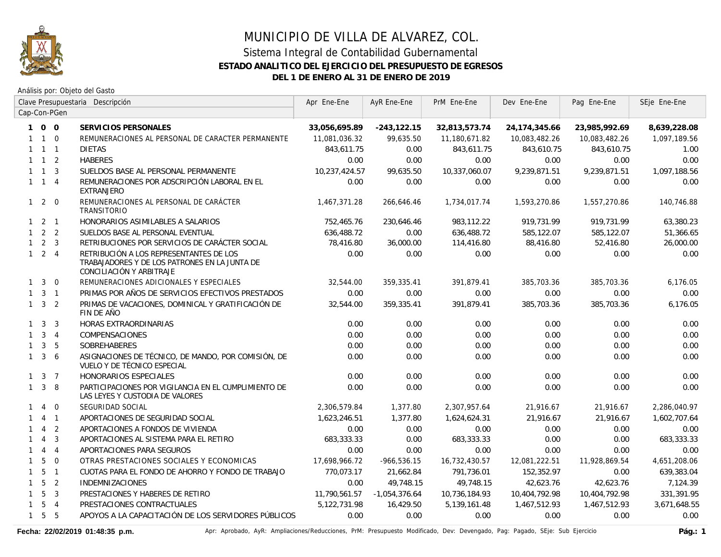

Análisis por: Objeto del Gasto

|              |                     |                | Clave Presupuestaria Descripción                                                                                     | Apr Ene-Ene   | AyR Ene-Ene     | PrM Ene-Ene   | Dev Ene-Ene     | Pag Ene-Ene   | SEje Ene-Ene |
|--------------|---------------------|----------------|----------------------------------------------------------------------------------------------------------------------|---------------|-----------------|---------------|-----------------|---------------|--------------|
|              |                     | Cap-Con-PGen   |                                                                                                                      |               |                 |               |                 |               |              |
|              | 100                 |                | SERVICIOS PERSONALES                                                                                                 | 33,056,695.89 | $-243, 122.15$  | 32,813,573.74 | 24, 174, 345.66 | 23,985,992.69 | 8,639,228.08 |
|              | $1\quad1\quad0$     |                | REMUNERACIONES AL PERSONAL DE CARACTER PERMANENTE                                                                    | 11,081,036.32 | 99,635.50       | 11,180,671.82 | 10,083,482.26   | 10,083,482.26 | 1,097,189.56 |
|              | $1 \quad 1 \quad 1$ |                | <b>DIETAS</b>                                                                                                        | 843,611.75    | 0.00            | 843,611.75    | 843,610.75      | 843,610.75    | 1.00         |
|              | $1 \quad 1 \quad 2$ |                | <b>HABERES</b>                                                                                                       | 0.00          | 0.00            | 0.00          | 0.00            | 0.00          | 0.00         |
|              | $1\quad1$           | $\overline{3}$ | SUELDOS BASE AL PERSONAL PERMANENTE                                                                                  | 10,237,424.57 | 99,635.50       | 10,337,060.07 | 9,239,871.51    | 9,239,871.51  | 1,097,188.56 |
|              | $1 \quad 1 \quad 4$ |                | REMUNERACIONES POR ADSCRIPCIÓN LABORAL EN EL<br><b>EXTRANJERO</b>                                                    | 0.00          | 0.00            | 0.00          | 0.00            | 0.00          | 0.00         |
|              | $1 2 0$             |                | REMUNERACIONES AL PERSONAL DE CARÁCTER<br>TRANSITORIO                                                                | 1,467,371.28  | 266,646.46      | 1,734,017.74  | 1,593,270.86    | 1,557,270.86  | 140,746.88   |
|              | $1 \quad 2 \quad 1$ |                | HONORARIOS ASIMILABLES A SALARIOS                                                                                    | 752,465.76    | 230,646.46      | 983,112.22    | 919,731.99      | 919,731.99    | 63,380.23    |
|              | $1 \quad 2 \quad 2$ |                | SUELDOS BASE AL PERSONAL EVENTUAL                                                                                    | 636,488.72    | 0.00            | 636,488.72    | 585,122.07      | 585,122.07    | 51,366.65    |
|              | $1 \quad 2 \quad 3$ |                | RETRIBUCIONES POR SERVICIOS DE CARÁCTER SOCIAL                                                                       | 78,416.80     | 36,000.00       | 114,416.80    | 88,416.80       | 52,416.80     | 26,000.00    |
|              | $1 \quad 2 \quad 4$ |                | RETRIBUCIÓN A LOS REPRESENTANTES DE LOS<br>TRABAJADORES Y DE LOS PATRONES EN LA JUNTA DE<br>CONCILIACIÓN Y ARBITRAJE | 0.00          | 0.00            | 0.00          | 0.00            | 0.00          | 0.00         |
| $\mathbf{1}$ | $\overline{3}$      | $\overline{0}$ | REMUNERACIONES ADICIONALES Y ESPECIALES                                                                              | 32,544.00     | 359,335.41      | 391,879.41    | 385,703.36      | 385,703.36    | 6,176.05     |
| $\mathbf{1}$ |                     | $3 \quad 1$    | PRIMAS POR AÑOS DE SERVICIOS EFECTIVOS PRESTADOS                                                                     | 0.00          | 0.00            | 0.00          | 0.00            | 0.00          | 0.00         |
|              | $1 \quad 3 \quad 2$ |                | PRIMAS DE VACACIONES, DOMINICAL Y GRATIFICACIÓN DE<br>FIN DE AÑO                                                     | 32,544.00     | 359,335.41      | 391,879.41    | 385,703.36      | 385,703.36    | 6,176.05     |
|              | $1 \quad 3$         | $\overline{3}$ | HORAS EXTRAORDINARIAS                                                                                                | 0.00          | 0.00            | 0.00          | 0.00            | 0.00          | 0.00         |
|              | $1 \quad 3 \quad 4$ |                | COMPENSACIONES                                                                                                       | 0.00          | 0.00            | 0.00          | 0.00            | 0.00          | 0.00         |
|              | $1 \quad 3$         | 5              | <b>SOBREHABERES</b>                                                                                                  | 0.00          | 0.00            | 0.00          | 0.00            | 0.00          | 0.00         |
| $\mathbf{1}$ |                     | 36             | ASIGNACIONES DE TÉCNICO, DE MANDO, POR COMISIÓN, DE<br><b>VUELO Y DE TÉCNICO ESPECIAL</b>                            | 0.00          | 0.00            | 0.00          | 0.00            | 0.00          | 0.00         |
|              | $1 \quad 3 \quad 7$ |                | HONORARIOS ESPECIALES                                                                                                | 0.00          | 0.00            | 0.00          | 0.00            | 0.00          | 0.00         |
|              | $1 \quad 3$         | 8              | PARTICIPACIONES POR VIGILANCIA EN EL CUMPLIMIENTO DE<br>LAS LEYES Y CUSTODIA DE VALORES                              | 0.00          | 0.00            | 0.00          | 0.00            | 0.00          | 0.00         |
| $\mathbf{1}$ | $\overline{4}$      | $\overline{0}$ | SEGURIDAD SOCIAL                                                                                                     | 2,306,579.84  | 1,377.80        | 2,307,957.64  | 21,916.67       | 21,916.67     | 2,286,040.97 |
| 1            |                     | $4 \quad 1$    | APORTACIONES DE SEGURIDAD SOCIAL                                                                                     | 1,623,246.51  | 1,377.80        | 1,624,624.31  | 21,916.67       | 21,916.67     | 1,602,707.64 |
|              | 4                   | 2              | APORTACIONES A FONDOS DE VIVIENDA                                                                                    | 0.00          | 0.00            | 0.00          | 0.00            | 0.00          | 0.00         |
| $\mathbf{1}$ | $\overline{4}$      | 3              | APORTACIONES AL SISTEMA PARA EL RETIRO                                                                               | 683,333.33    | 0.00            | 683,333.33    | 0.00            | 0.00          | 683,333.33   |
| $\mathbf{1}$ | $\overline{4}$      | $\overline{4}$ | APORTACIONES PARA SEGUROS                                                                                            | 0.00          | 0.00            | 0.00          | 0.00            | 0.00          | 0.00         |
| $\mathbf{1}$ | 5                   | $\overline{0}$ | OTRAS PRESTACIONES SOCIALES Y ECONOMICAS                                                                             | 17,698,966.72 | $-966,536.15$   | 16,732,430.57 | 12,081,222.51   | 11,928,869.54 | 4,651,208.06 |
| $\mathbf{1}$ |                     | 5 <sub>1</sub> | CUOTAS PARA EL FONDO DE AHORRO Y FONDO DE TRABAJO                                                                    | 770,073.17    | 21,662.84       | 791,736.01    | 152,352.97      | 0.00          | 639,383.04   |
| $\mathbf{1}$ | 5                   | 2              | <b>INDEMNIZACIONES</b>                                                                                               | 0.00          | 49,748.15       | 49.748.15     | 42,623.76       | 42,623.76     | 7,124.39     |
|              | $1\quad5$           | $\overline{3}$ | PRESTACIONES Y HABERES DE RETIRO                                                                                     | 11,790,561.57 | $-1,054,376.64$ | 10,736,184.93 | 10,404,792.98   | 10,404,792.98 | 331,391.95   |
| $\mathbf{1}$ | $5\overline{)}$     | $\overline{4}$ | PRESTACIONES CONTRACTUALES                                                                                           | 5,122,731.98  | 16,429.50       | 5,139,161.48  | 1,467,512.93    | 1,467,512.93  | 3,671,648.55 |
|              | $1\quad 5\quad 5$   |                | APOYOS A LA CAPACITACIÓN DE LOS SERVIDORES PÚBLICOS                                                                  | 0.00          | 0.00            | 0.00          | 0.00            | 0.00          | 0.00         |

Fecha: 22/02/2019 01:48:35 p.m. **Aprichationes/Reducciones, PrM: Presupuesto Modificado**, Dev: Devengado, Pag: Pagado, SEje: Sub Ejercicio Pág.: 1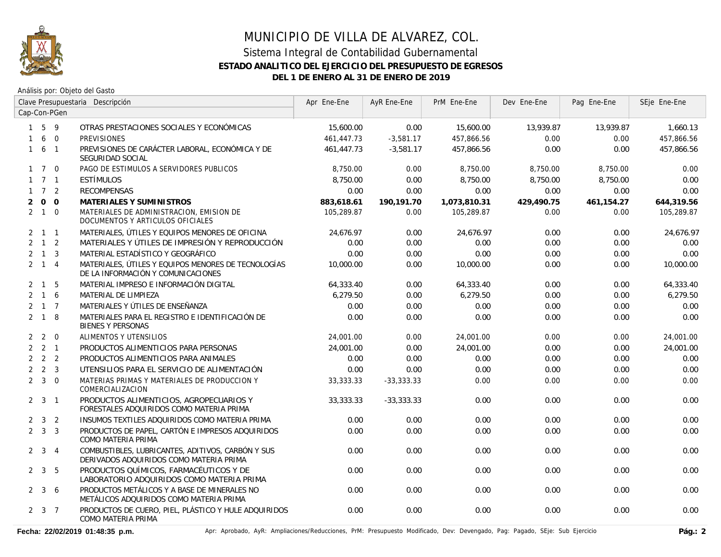

Análisis por: Objeto del Gasto

|                |                     |                | Clave Presupuestaria Descripción                                                             | Apr Ene-Ene | AyR Ene-Ene  | PrM Ene-Ene  | Dev Ene-Ene | Pag Ene-Ene | SEje Ene-Ene |
|----------------|---------------------|----------------|----------------------------------------------------------------------------------------------|-------------|--------------|--------------|-------------|-------------|--------------|
|                |                     | Cap-Con-PGen   |                                                                                              |             |              |              |             |             |              |
|                | $1\quad5\quad9$     |                | OTRAS PRESTACIONES SOCIALES Y ECONÓMICAS                                                     | 15,600.00   | 0.00         | 15,600.00    | 13,939.87   | 13,939.87   | 1,660.13     |
|                | 6                   | $\overline{0}$ | <b>PREVISIONES</b>                                                                           | 461,447.73  | $-3,581.17$  | 457,866.56   | 0.00        | 0.00        | 457,866.56   |
| $\mathbf{1}$   |                     | 6 1            | PREVISIONES DE CARÁCTER LABORAL, ECONÓMICA Y DE<br>SEGURIDAD SOCIAL                          | 461,447.73  | $-3,581.17$  | 457,866.56   | 0.00        | 0.00        | 457,866.56   |
|                | $1 \quad 7 \quad 0$ |                | PAGO DE ESTIMULOS A SERVIDORES PUBLICOS                                                      | 8,750.00    | 0.00         | 8,750.00     | 8,750.00    | 8,750.00    | 0.00         |
|                | $1 \quad 7 \quad 1$ |                | ESTÍMULOS                                                                                    | 8,750.00    | 0.00         | 8,750.00     | 8,750.00    | 8,750.00    | 0.00         |
|                | $1 \quad 7 \quad 2$ |                | <b>RECOMPENSAS</b>                                                                           | 0.00        | 0.00         | 0.00         | 0.00        | 0.00        | 0.00         |
| $\overline{2}$ |                     | $0\quad 0$     | MATERIALES Y SUMINISTROS                                                                     | 883,618.61  | 190,191.70   | 1,073,810.31 | 429,490.75  | 461,154.27  | 644,319.56   |
|                | $2 \quad 1 \quad 0$ |                | MATERIALES DE ADMINISTRACION, EMISION DE<br>DOCUMENTOS Y ARTICULOS OFICIALES                 | 105,289.87  | 0.00         | 105,289.87   | 0.00        | 0.00        | 105,289.87   |
|                | $2 \quad 1 \quad 1$ |                | MATERIALES, ÚTILES Y EQUIPOS MENORES DE OFICINA                                              | 24.676.97   | 0.00         | 24.676.97    | 0.00        | 0.00        | 24.676.97    |
|                | $2 \quad 1 \quad 2$ |                | MATERIALES Y ÚTILES DE IMPRESIÓN Y REPRODUCCIÓN                                              | 0.00        | 0.00         | 0.00         | 0.00        | 0.00        | 0.00         |
|                | $2 \quad 1 \quad 3$ |                | MATERIAL ESTADÍSTICO Y GEOGRÁFICO                                                            | 0.00        | 0.00         | 0.00         | 0.00        | 0.00        | 0.00         |
|                | $2 \quad 1 \quad 4$ |                | MATERIALES, ÚTILES Y EQUIPOS MENORES DE TECNOLOGÍAS<br>DE LA INFORMACIÓN Y COMUNICACIONES    | 10,000.00   | 0.00         | 10,000.00    | 0.00        | 0.00        | 10,000.00    |
|                | $2 \quad 1$         | 5              | MATERIAL IMPRESO E INFORMACIÓN DIGITAL                                                       | 64,333.40   | 0.00         | 64,333.40    | 0.00        | 0.00        | 64,333.40    |
|                | $2 \quad 1 \quad 6$ |                | MATERIAL DE LIMPIEZA                                                                         | 6,279.50    | 0.00         | 6,279.50     | 0.00        | 0.00        | 6,279.50     |
|                | $2 \t1 \t7$         |                | MATERIALES Y ÚTILES DE ENSEÑANZA                                                             | 0.00        | 0.00         | 0.00         | 0.00        | 0.00        | 0.00         |
|                | $2 \quad 1 \quad 8$ |                | MATERIALES PARA EL REGISTRO E IDENTIFICACIÓN DE<br><b>BIENES Y PERSONAS</b>                  | 0.00        | 0.00         | 0.00         | 0.00        | 0.00        | 0.00         |
|                | $2\quad 2$          | $\overline{0}$ | ALIMENTOS Y UTENSILIOS                                                                       | 24,001.00   | 0.00         | 24,001.00    | 0.00        | 0.00        | 24,001.00    |
|                | $2 \quad 2 \quad 1$ |                | PRODUCTOS ALIMENTICIOS PARA PERSONAS                                                         | 24,001.00   | 0.00         | 24,001.00    | 0.00        | 0.00        | 24,001.00    |
|                | $2 \quad 2 \quad 2$ |                | PRODUCTOS ALIMENTICIOS PARA ANIMALES                                                         | 0.00        | 0.00         | 0.00         | 0.00        | 0.00        | 0.00         |
|                | $2 \quad 2 \quad 3$ |                | UTENSILIOS PARA EL SERVICIO DE ALIMENTACIÓN                                                  | 0.00        | 0.00         | 0.00         | 0.00        | 0.00        | 0.00         |
|                | $2 \quad 3 \quad 0$ |                | MATERIAS PRIMAS Y MATERIALES DE PRODUCCION Y<br>COMERCIALIZACION                             | 33, 333. 33 | $-33,333.33$ | 0.00         | 0.00        | 0.00        | 0.00         |
|                | $2 \quad 3 \quad 1$ |                | PRODUCTOS ALIMENTICIOS, AGROPECUARIOS Y<br>FORESTALES ADQUIRIDOS COMO MATERIA PRIMA          | 33,333.33   | $-33,333.33$ | 0.00         | 0.00        | 0.00        | 0.00         |
|                | $2 \quad 3 \quad 2$ |                | INSUMOS TEXTILES ADQUIRIDOS COMO MATERIA PRIMA                                               | 0.00        | 0.00         | 0.00         | 0.00        | 0.00        | 0.00         |
|                | $2 \quad 3 \quad 3$ |                | PRODUCTOS DE PAPEL, CARTÓN E IMPRESOS ADQUIRIDOS<br>COMO MATERIA PRIMA                       | 0.00        | 0.00         | 0.00         | 0.00        | 0.00        | 0.00         |
|                | $2 \quad 3$         | $\overline{4}$ | COMBUSTIBLES, LUBRICANTES, ADITIVOS, CARBÓN Y SUS<br>DERIVADOS ADQUIRIDOS COMO MATERIA PRIMA | 0.00        | 0.00         | 0.00         | 0.00        | 0.00        | 0.00         |
|                | $2 \quad 3 \quad 5$ |                | PRODUCTOS QUÍMICOS, FARMACÉUTICOS Y DE<br>LABORATORIO ADQUIRIDOS COMO MATERIA PRIMA          | 0.00        | 0.00         | 0.00         | 0.00        | 0.00        | 0.00         |
|                | $2 \quad 3 \quad 6$ |                | PRODUCTOS METÁLICOS Y A BASE DE MINERALES NO<br>METÁLICOS ADQUIRIDOS COMO MATERIA PRIMA      | 0.00        | 0.00         | 0.00         | 0.00        | 0.00        | 0.00         |
|                | $2 \quad 3 \quad 7$ |                | PRODUCTOS DE CUERO, PIEL, PLÁSTICO Y HULE ADQUIRIDOS<br>COMO MATERIA PRIMA                   | 0.00        | 0.00         | 0.00         | 0.00        | 0.00        | 0.00         |

Fecha: 22/02/2019 01:48:35 p.m. **Aprichationes/Reducciones, PrM: Presupuesto Modificado**, Dev: Devengado, Pag: Pagado, SEje: Sub Ejercicio Pág.: 2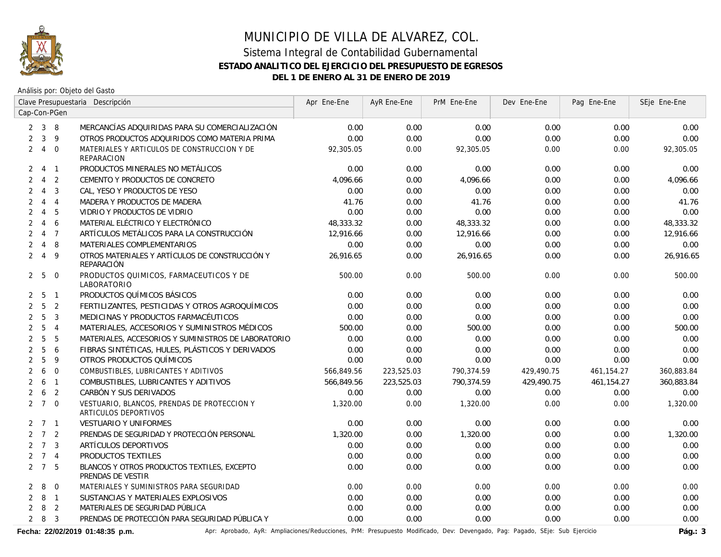

Análisis por: Objeto del Gasto

|                |                     |                | Clave Presupuestaria Descripción                                    | Apr Ene-Ene | AyR Ene-Ene | PrM Ene-Ene | Dev Ene-Ene | Pag Ene-Ene  | SEje Ene-Ene |
|----------------|---------------------|----------------|---------------------------------------------------------------------|-------------|-------------|-------------|-------------|--------------|--------------|
|                |                     | Cap-Con-PGen   |                                                                     |             |             |             |             |              |              |
|                | $2 \quad 3 \quad 8$ |                | MERCANCÍAS ADQUIRIDAS PARA SU COMERCIALIZACIÓN                      | 0.00        | 0.00        | 0.00        | 0.00        | 0.00         | 0.00         |
| $\overline{2}$ | $\overline{3}$      | 9              | OTROS PRODUCTOS ADQUIRIDOS COMO MATERIA PRIMA                       | 0.00        | 0.00        | 0.00        | 0.00        | 0.00         | 0.00         |
| $\overline{2}$ | 4 0                 |                | MATERIALES Y ARTICULOS DE CONSTRUCCION Y DE<br><b>REPARACION</b>    | 92,305.05   | 0.00        | 92,305.05   | 0.00        | 0.00         | 92,305.05    |
| 2              | 4 1                 |                | PRODUCTOS MINERALES NO METÁLICOS                                    | 0.00        | 0.00        | 0.00        | 0.00        | 0.00         | 0.00         |
| 2              | $\overline{4}$      | 2              | CEMENTO Y PRODUCTOS DE CONCRETO                                     | 4.096.66    | 0.00        | 4.096.66    | 0.00        | 0.00         | 4,096.66     |
| $\overline{2}$ | $\overline{4}$      | 3              | CAL, YESO Y PRODUCTOS DE YESO                                       | 0.00        | 0.00        | 0.00        | 0.00        | 0.00         | 0.00         |
| $\overline{2}$ | $\overline{4}$      | $\overline{4}$ | MADERA Y PRODUCTOS DE MADERA                                        | 41.76       | 0.00        | 41.76       | 0.00        | 0.00         | 41.76        |
| 2              | $\overline{4}$      | 5              | VIDRIO Y PRODUCTOS DE VIDRIO                                        | 0.00        | 0.00        | 0.00        | 0.00        | 0.00         | 0.00         |
| 2              | $\overline{4}$      | 6              | MATERIAL ELÉCTRICO Y ELECTRÓNICO                                    | 48,333.32   | 0.00        | 48,333.32   | 0.00        | 0.00         | 48,333.32    |
| 2              | $\overline{4}$      | $\overline{7}$ | ARTÍCULOS METÁLICOS PARA LA CONSTRUCCIÓN                            | 12,916.66   | 0.00        | 12,916.66   | 0.00        | 0.00         | 12,916.66    |
| 2              | $\overline{4}$      | 8              | MATERIALES COMPLEMENTARIOS                                          | 0.00        | 0.00        | 0.00        | 0.00        | 0.00         | 0.00         |
| $\overline{2}$ | $\overline{4}$      | 9              | OTROS MATERIALES Y ARTÍCULOS DE CONSTRUCCIÓN Y<br>REPARACIÓN        | 26,916.65   | 0.00        | 26,916.65   | 0.00        | 0.00         | 26,916.65    |
|                | 2 <sub>5</sub>      | $\overline{0}$ | PRODUCTOS QUIMICOS, FARMACEUTICOS Y DE<br>LABORATORIO               | 500.00      | 0.00        | 500.00      | 0.00        | 0.00         | 500.00       |
| 2              | 5                   | $\overline{1}$ | PRODUCTOS QUÍMICOS BÁSICOS                                          | 0.00        | 0.00        | 0.00        | 0.00        | 0.00         | 0.00         |
| $\overline{2}$ | 5                   | $\overline{2}$ | FERTILIZANTES, PESTICIDAS Y OTROS AGROQUÍMICOS                      | 0.00        | 0.00        | 0.00        | 0.00        | 0.00         | 0.00         |
| $\overline{2}$ | 5                   | $\overline{3}$ | MEDICINAS Y PRODUCTOS FARMACÉUTICOS                                 | 0.00        | 0.00        | 0.00        | 0.00        | 0.00         | 0.00         |
| $\overline{2}$ | 5                   | $\overline{4}$ | MATERIALES, ACCESORIOS Y SUMINISTROS MÉDICOS                        | 500.00      | 0.00        | 500.00      | 0.00        | 0.00         | 500.00       |
| $\overline{2}$ | 5                   | 5              | MATERIALES, ACCESORIOS Y SUMINISTROS DE LABORATORIO                 | 0.00        | 0.00        | 0.00        | 0.00        | 0.00         | 0.00         |
| $\overline{2}$ | 5                   | 6              | FIBRAS SINTÉTICAS, HULES, PLÁSTICOS Y DERIVADOS                     | 0.00        | 0.00        | 0.00        | 0.00        | 0.00         | 0.00         |
| $\overline{2}$ | 5                   | 9              | OTROS PRODUCTOS QUÍMICOS                                            | 0.00        | 0.00        | 0.00        | 0.00        | 0.00         | 0.00         |
| $\overline{2}$ | 6                   | $\overline{0}$ | COMBUSTIBLES, LUBRICANTES Y ADITIVOS                                | 566,849.56  | 223,525.03  | 790,374.59  | 429,490.75  | 461,154.27   | 360,883.84   |
| $\overline{2}$ | 6                   | $\overline{1}$ | COMBUSTIBLES, LUBRICANTES Y ADITIVOS                                | 566,849.56  | 223,525.03  | 790,374.59  | 429,490.75  | 461, 154. 27 | 360,883.84   |
| 2              | 6                   | $\overline{2}$ | CARBÓN Y SUS DERIVADOS                                              | 0.00        | 0.00        | 0.00        | 0.00        | 0.00         | 0.00         |
|                | $2 \t7 \t0$         |                | VESTUARIO, BLANCOS, PRENDAS DE PROTECCION Y<br>ARTICULOS DEPORTIVOS | 1,320.00    | 0.00        | 1,320.00    | 0.00        | 0.00         | 1,320.00     |
|                | $2 \quad 7 \quad 1$ |                | <b>VESTUARIO Y UNIFORMES</b>                                        | 0.00        | 0.00        | 0.00        | 0.00        | 0.00         | 0.00         |
| $\mathcal{P}$  | 7 2                 |                | PRENDAS DE SEGURIDAD Y PROTECCIÓN PERSONAL                          | 1,320.00    | 0.00        | 1,320.00    | 0.00        | 0.00         | 1,320.00     |
|                | $2 \quad 7 \quad 3$ |                | ARTÍCULOS DEPORTIVOS                                                | 0.00        | 0.00        | 0.00        | 0.00        | 0.00         | 0.00         |
|                | $2 \quad 7 \quad 4$ |                | PRODUCTOS TEXTILES                                                  | 0.00        | 0.00        | 0.00        | 0.00        | 0.00         | 0.00         |
|                | $2 \quad 7 \quad 5$ |                | BLANCOS Y OTROS PRODUCTOS TEXTILES, EXCEPTO<br>PRENDAS DE VESTIR    | 0.00        | 0.00        | 0.00        | 0.00        | 0.00         | 0.00         |
| 2              | 8                   | $\overline{0}$ | MATERIALES Y SUMINISTROS PARA SEGURIDAD                             | 0.00        | 0.00        | 0.00        | 0.00        | 0.00         | 0.00         |
| $\overline{2}$ | 8 1                 |                | SUSTANCIAS Y MATERIALES EXPLOSIVOS                                  | 0.00        | 0.00        | 0.00        | 0.00        | 0.00         | 0.00         |
| $\overline{2}$ | 8                   | 2              | MATERIALES DE SEGURIDAD PÚBLICA                                     | 0.00        | 0.00        | 0.00        | 0.00        | 0.00         | 0.00         |
|                | 283                 |                | PRENDAS DE PROTECCIÓN PARA SEGURIDAD PÚBLICA Y                      | 0.00        | 0.00        | 0.00        | 0.00        | 0.00         | 0.00         |

Fecha: 22/02/2019 01:48:35 p.m. **Aprichationes/Reducciones, PrM: Presupuesto Modificado**, Dev: Devengado, Pag: Pagado, SEje: Sub Ejercicio Pág.: 3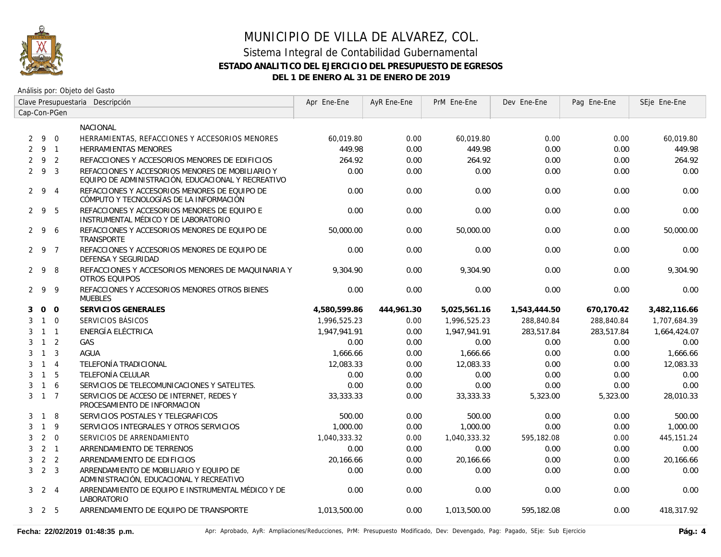

|   |                     |                | Clave Presupuestaria Descripción                                                                       | Apr Ene-Ene  | AyR Ene-Ene | PrM Ene-Ene  | Dev Ene-Ene  | Pag Ene-Ene | SEje Ene-Ene |
|---|---------------------|----------------|--------------------------------------------------------------------------------------------------------|--------------|-------------|--------------|--------------|-------------|--------------|
|   |                     | Cap-Con-PGen   |                                                                                                        |              |             |              |              |             |              |
|   |                     |                | NACIONAL                                                                                               |              |             |              |              |             |              |
|   | 290                 |                | HERRAMIENTAS, REFACCIONES Y ACCESORIOS MENORES                                                         | 60.019.80    | 0.00        | 60.019.80    | 0.00         | 0.00        | 60.019.80    |
|   | 291                 |                | <b>HERRAMIENTAS MENORES</b>                                                                            | 449.98       | 0.00        | 449.98       | 0.00         | 0.00        | 449.98       |
| 2 | 9 2                 |                | REFACCIONES Y ACCESORIOS MENORES DE EDIFICIOS                                                          | 264.92       | 0.00        | 264.92       | 0.00         | 0.00        | 264.92       |
|   | 293                 |                | REFACCIONES Y ACCESORIOS MENORES DE MOBILIARIO Y<br>EQUIPO DE ADMINISTRACIÓN, EDUCACIONAL Y RECREATIVO | 0.00         | 0.00        | 0.00         | 0.00         | 0.00        | 0.00         |
|   | $2 \quad 9 \quad 4$ |                | REFACCIONES Y ACCESORIOS MENORES DE EQUIPO DE<br>CÓMPUTO Y TECNOLOGÍAS DE LA INFORMACIÓN               | 0.00         | 0.00        | 0.00         | 0.00         | 0.00        | 0.00         |
|   | 295                 |                | REFACCIONES Y ACCESORIOS MENORES DE EQUIPO E<br>INSTRUMENTAL MÉDICO Y DE LABORATORIO                   | 0.00         | 0.00        | 0.00         | 0.00         | 0.00        | 0.00         |
|   | $2\overline{9}$     | 6              | REFACCIONES Y ACCESORIOS MENORES DE EQUIPO DE<br><b>TRANSPORTE</b>                                     | 50,000.00    | 0.00        | 50,000.00    | 0.00         | 0.00        | 50,000.00    |
|   | 2 9 7               |                | REFACCIONES Y ACCESORIOS MENORES DE EQUIPO DE<br><b>DEFENSA Y SEGURIDAD</b>                            | 0.00         | 0.00        | 0.00         | 0.00         | 0.00        | 0.00         |
|   | $2 \quad 9$         | 8              | REFACCIONES Y ACCESORIOS MENORES DE MAQUINARIA Y<br><b>OTROS EQUIPOS</b>                               | 9.304.90     | 0.00        | 9.304.90     | 0.00         | 0.00        | 9.304.90     |
|   | 299                 |                | REFACCIONES Y ACCESORIOS MENORES OTROS BIENES<br><b>MUEBLES</b>                                        | 0.00         | 0.00        | 0.00         | 0.00         | 0.00        | 0.00         |
| 3 | 0 <sub>0</sub>      |                | SERVICIOS GENERALES                                                                                    | 4,580,599.86 | 444,961.30  | 5,025,561.16 | 1,543,444.50 | 670.170.42  | 3.482.116.66 |
| 3 | $1\quad 0$          |                | SERVICIOS BÁSICOS                                                                                      | 1,996,525.23 | 0.00        | 1,996,525.23 | 288,840.84   | 288,840.84  | 1,707,684.39 |
| 3 | $1 \quad 1$         |                | ENERGÍA ELÉCTRICA                                                                                      | 1,947,941.91 | 0.00        | 1,947,941.91 | 283,517.84   | 283,517.84  | 1,664,424.07 |
| 3 | $1\quad 2$          |                | GAS                                                                                                    | 0.00         | 0.00        | 0.00         | 0.00         | 0.00        | 0.00         |
| 3 | $1 \quad 3$         |                | <b>AGUA</b>                                                                                            | 1,666.66     | 0.00        | 1,666.66     | 0.00         | 0.00        | 1,666.66     |
| 3 | $1 \quad 4$         |                | TELEFONÍA TRADICIONAL                                                                                  | 12,083.33    | 0.00        | 12,083.33    | 0.00         | 0.00        | 12,083.33    |
| 3 | $1\quad5$           |                | TELEFONÍA CELULAR                                                                                      | 0.00         | 0.00        | 0.00         | 0.00         | 0.00        | 0.00         |
| 3 | $\mathbf{1}$        | 6              | SERVICIOS DE TELECOMUNICACIONES Y SATELITES.                                                           | 0.00         | 0.00        | 0.00         | 0.00         | 0.00        | 0.00         |
| 3 | $1 \quad 7$         |                | SERVICIOS DE ACCESO DE INTERNET. REDES Y<br>PROCESAMIENTO DE INFORMACION                               | 33,333.33    | 0.00        | 33,333.33    | 5,323.00     | 5,323.00    | 28,010.33    |
| 3 | $\overline{1}$      | 8              | SERVICIOS POSTALES Y TELEGRAFICOS                                                                      | 500.00       | 0.00        | 500.00       | 0.00         | 0.00        | 500.00       |
| 3 | $\overline{1}$      | 9              | SERVICIOS INTEGRALES Y OTROS SERVICIOS                                                                 | 1,000.00     | 0.00        | 1,000.00     | 0.00         | 0.00        | 1,000.00     |
| 3 | $2\quad 0$          |                | SERVICIOS DE ARRENDAMIENTO                                                                             | 1,040,333.32 | 0.00        | 1,040,333.32 | 595,182.08   | 0.00        | 445, 151.24  |
| 3 | 2 <sub>1</sub>      |                | ARRENDAMIENTO DE TERRENOS                                                                              | 0.00         | 0.00        | 0.00         | 0.00         | 0.00        | 0.00         |
| 3 |                     | 2 <sub>2</sub> | ARRENDAMIENTO DE EDIFICIOS                                                                             | 20,166.66    | 0.00        | 20,166.66    | 0.00         | 0.00        | 20,166.66    |
| 3 | 2 <sup>3</sup>      |                | ARRENDAMIENTO DE MOBILIARIO Y EQUIPO DE<br>ADMINISTRACIÓN, EDUCACIONAL Y RECREATIVO                    | 0.00         | 0.00        | 0.00         | 0.00         | 0.00        | 0.00         |
|   | $3 \quad 2 \quad 4$ |                | ARRENDAMIENTO DE EQUIPO E INSTRUMENTAL MÉDICO Y DE<br>LABORATORIO                                      | 0.00         | 0.00        | 0.00         | 0.00         | 0.00        | 0.00         |
|   | $3\quad 2\quad 5$   |                | ARRENDAMIENTO DE EQUIPO DE TRANSPORTE                                                                  | 1,013,500.00 | 0.00        | 1,013,500.00 | 595,182.08   | 0.00        | 418,317.92   |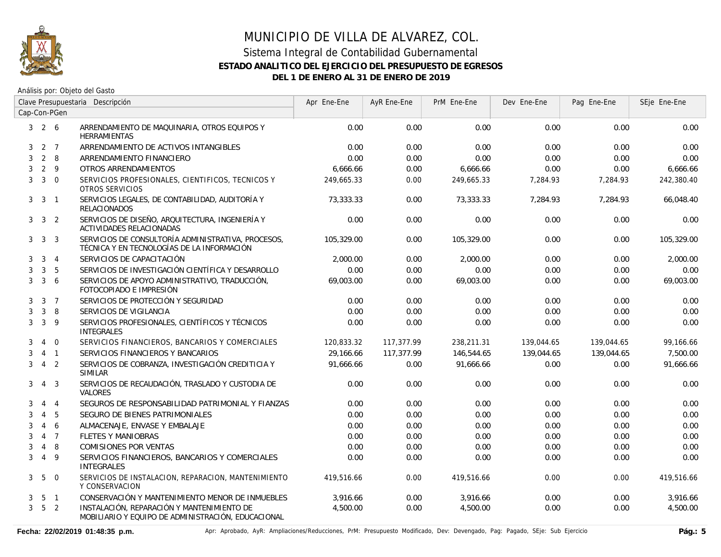

|              |                   |                          | Clave Presupuestaria Descripción                                                                 | Apr Ene-Ene | AyR Ene-Ene | PrM Ene-Ene | Dev Ene-Ene | Pag Ene-Ene | SEje Ene-Ene |
|--------------|-------------------|--------------------------|--------------------------------------------------------------------------------------------------|-------------|-------------|-------------|-------------|-------------|--------------|
|              |                   | Cap-Con-PGen             |                                                                                                  |             |             |             |             |             |              |
|              | $3\quad 2\quad 6$ |                          | ARRENDAMIENTO DE MAQUINARIA, OTROS EQUIPOS Y<br><b>HERRAMIENTAS</b>                              | 0.00        | 0.00        | 0.00        | 0.00        | 0.00        | 0.00         |
| 3            |                   | $2 \overline{7}$         | ARRENDAMIENTO DE ACTIVOS INTANGIBLES                                                             | 0.00        | 0.00        | 0.00        | 0.00        | 0.00        | 0.00         |
| 3            |                   | $2 \quad 8$              | ARRENDAMIENTO FINANCIERO                                                                         | 0.00        | 0.00        | 0.00        | 0.00        | 0.00        | 0.00         |
| 3            | $2 \quad 9$       |                          | OTROS ARRENDAMIENTOS                                                                             | 6,666.66    | 0.00        | 6,666.66    | 0.00        | 0.00        | 6,666.66     |
| 3            | $3 \quad 0$       |                          | SERVICIOS PROFESIONALES, CIENTIFICOS, TECNICOS Y<br>OTROS SERVICIOS                              | 249,665.33  | 0.00        | 249,665.33  | 7,284.93    | 7,284.93    | 242,380.40   |
| 3            | $\mathbf{3}$      | $\overline{\phantom{0}}$ | SERVICIOS LEGALES, DE CONTABILIDAD, AUDITORÍA Y<br><b>RELACIONADOS</b>                           | 73,333.33   | 0.00        | 73,333.33   | 7,284.93    | 7,284.93    | 66,048.40    |
| 3            | $\mathbf{3}$      | 2                        | SERVICIOS DE DISEÑO, ARQUITECTURA, INGENIERÍA Y<br>ACTIVIDADES RELACIONADAS                      | 0.00        | 0.00        | 0.00        | 0.00        | 0.00        | 0.00         |
| 3            | $\mathbf{3}$      | 3                        | SERVICIOS DE CONSULTORÍA ADMINISTRATIVA, PROCESOS,<br>TÉCNICA Y EN TECNOLOGÍAS DE LA INFORMACIÓN | 105,329.00  | 0.00        | 105,329.00  | 0.00        | 0.00        | 105,329.00   |
| 3            | 3                 | $\overline{4}$           | SERVICIOS DE CAPACITACIÓN                                                                        | 2.000.00    | 0.00        | 2,000.00    | 0.00        | 0.00        | 2,000.00     |
| 3            | 3                 | 5                        | SERVICIOS DE INVESTIGACIÓN CIENTÍFICA Y DESARROLLO                                               | 0.00        | 0.00        | 0.00        | 0.00        | 0.00        | 0.00         |
| 3            | $\mathbf{3}$      | 6                        | SERVICIOS DE APOYO ADMINISTRATIVO, TRADUCCIÓN,<br>FOTOCOPIADO E IMPRESIÓN                        | 69,003.00   | 0.00        | 69,003.00   | 0.00        | 0.00        | 69,003.00    |
| 3            | 3                 | $\overline{7}$           | SERVICIOS DE PROTECCIÓN Y SEGURIDAD                                                              | 0.00        | 0.00        | 0.00        | 0.00        | 0.00        | 0.00         |
| 3            | $\mathbf{3}$      | 8                        | SERVICIOS DE VIGILANCIA                                                                          | 0.00        | 0.00        | 0.00        | 0.00        | 0.00        | 0.00         |
| 3            | $\mathbf{3}$      | 9                        | SERVICIOS PROFESIONALES, CIENTÍFICOS Y TÉCNICOS<br><b>INTEGRALES</b>                             | 0.00        | 0.00        | 0.00        | 0.00        | 0.00        | 0.00         |
| 3            | 4                 | $\overline{0}$           | SERVICIOS FINANCIEROS, BANCARIOS Y COMERCIALES                                                   | 120,833.32  | 117,377.99  | 238,211.31  | 139,044.65  | 139,044.65  | 99,166.66    |
| 3            | $\overline{4}$    | $\overline{1}$           | SERVICIOS FINANCIEROS Y BANCARIOS                                                                | 29,166.66   | 117,377.99  | 146,544.65  | 139,044.65  | 139,044.65  | 7,500.00     |
| 3            | $\overline{4}$    | 2                        | SERVICIOS DE COBRANZA, INVESTIGACIÓN CREDITICIA Y<br><b>SIMILAR</b>                              | 91,666.66   | 0.00        | 91,666.66   | 0.00        | 0.00        | 91,666.66    |
| 3            | $\overline{4}$    | 3                        | SERVICIOS DE RECAUDACIÓN, TRASLADO Y CUSTODIA DE<br><b>VALORES</b>                               | 0.00        | 0.00        | 0.00        | 0.00        | 0.00        | 0.00         |
| 3            | $\overline{4}$    | $\overline{4}$           | SEGUROS DE RESPONSABILIDAD PATRIMONIAL Y FIANZAS                                                 | 0.00        | 0.00        | 0.00        | 0.00        | 0.00        | 0.00         |
| 3            | $\overline{4}$    | 5                        | SEGURO DE BIENES PATRIMONIALES                                                                   | 0.00        | 0.00        | 0.00        | 0.00        | 0.00        | 0.00         |
| 3            | $\overline{4}$    | 6                        | ALMACENAJE, ENVASE Y EMBALAJE                                                                    | 0.00        | 0.00        | 0.00        | 0.00        | 0.00        | 0.00         |
| 3            | $\overline{4}$    | $\overline{7}$           | <b>FLETES Y MANIOBRAS</b>                                                                        | 0.00        | 0.00        | 0.00        | 0.00        | 0.00        | 0.00         |
| 3            | 4                 | 8                        | <b>COMISIONES POR VENTAS</b>                                                                     | 0.00        | 0.00        | 0.00        | 0.00        | 0.00        | 0.00         |
| 3            | $\overline{4}$    | 9                        | SERVICIOS FINANCIEROS, BANCARIOS Y COMERCIALES<br><b>INTEGRALES</b>                              | 0.00        | 0.00        | 0.00        | 0.00        | 0.00        | 0.00         |
| 3            | 5                 | $\overline{0}$           | SERVICIOS DE INSTALACION, REPARACION, MANTENIMIENTO<br>Y CONSERVACION                            | 419,516.66  | 0.00        | 419,516.66  | 0.00        | 0.00        | 419,516.66   |
| 3            |                   | 5 <sub>1</sub>           | CONSERVACIÓN Y MANTENIMIENTO MENOR DE INMUEBLES                                                  | 3,916.66    | 0.00        | 3,916.66    | 0.00        | 0.00        | 3,916.66     |
| $\mathbf{3}$ | 5 <sub>2</sub>    |                          | INSTALACIÓN, REPARACIÓN Y MANTENIMIENTO DE<br>MOBILIARIO Y EQUIPO DE ADMINISTRACIÓN, EDUCACIONAL | 4,500.00    | 0.00        | 4,500.00    | 0.00        | 0.00        | 4,500.00     |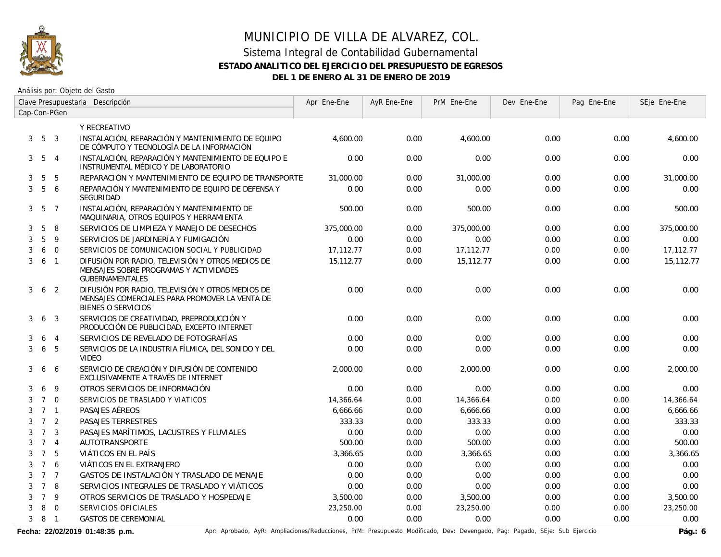

Análisis por: Objeto del Gasto

|   |                   |                | Clave Presupuestaria Descripción                                                                                                | Apr Ene-Ene | AyR Ene-Ene | PrM Ene-Ene | Dev Ene-Ene | Pag Ene-Ene | SEje Ene-Ene |
|---|-------------------|----------------|---------------------------------------------------------------------------------------------------------------------------------|-------------|-------------|-------------|-------------|-------------|--------------|
|   |                   | Cap-Con-PGen   |                                                                                                                                 |             |             |             |             |             |              |
|   |                   |                | Y RECREATIVO                                                                                                                    |             |             |             |             |             |              |
|   | $3\quad 5\quad 3$ |                | INSTALACIÓN, REPARACIÓN Y MANTENIMIENTO DE EQUIPO<br>DE CÓMPUTO Y TECNOLOGÍA DE LA INFORMACIÓN                                  | 4,600.00    | 0.00        | 4,600.00    | 0.00        | 0.00        | 4,600.00     |
| 3 | 5 4               |                | INSTALACIÓN, REPARACIÓN Y MANTENIMIENTO DE EQUIPO E<br>INSTRUMENTAL MÉDICO Y DE LABORATORIO                                     | 0.00        | 0.00        | 0.00        | 0.00        | 0.00        | 0.00         |
| 3 | 5                 | 5              | REPARACIÓN Y MANTENIMIENTO DE EQUIPO DE TRANSPORTE                                                                              | 31,000.00   | 0.00        | 31,000.00   | 0.00        | 0.00        | 31,000.00    |
| 3 | 5 <sup>5</sup>    | 6              | REPARACIÓN Y MANTENIMIENTO DE EQUIPO DE DEFENSA Y<br>SEGURIDAD                                                                  | 0.00        | 0.00        | 0.00        | 0.00        | 0.00        | 0.00         |
|   | $3\quad 5\quad 7$ |                | INSTALACIÓN, REPARACIÓN Y MANTENIMIENTO DE<br>MAQUINARIA, OTROS EQUIPOS Y HERRAMIENTA                                           | 500.00      | 0.00        | 500.00      | 0.00        | 0.00        | 500.00       |
| 3 | 5                 | 8              | SERVICIOS DE LIMPIEZA Y MANEJO DE DESECHOS                                                                                      | 375,000.00  | 0.00        | 375,000.00  | 0.00        | 0.00        | 375,000.00   |
| 3 | 5                 | 9              | SERVICIOS DE JARDINERÍA Y FUMIGACIÓN                                                                                            | 0.00        | 0.00        | 0.00        | 0.00        | 0.00        | 0.00         |
| 3 |                   | 6 0            | SERVICIOS DE COMUNICACION SOCIAL Y PUBLICIDAD                                                                                   | 17,112.77   | 0.00        | 17,112.77   | 0.00        | 0.00        | 17,112.77    |
| 3 |                   | 6 1            | DIFUSIÓN POR RADIO, TELEVISIÓN Y OTROS MEDIOS DE<br>MENSAJES SOBRE PROGRAMAS Y ACTIVIDADES<br><b>GUBERNAMENTALES</b>            | 15,112.77   | 0.00        | 15,112.77   | 0.00        | 0.00        | 15,112.77    |
| 3 |                   | 6 2            | DIFUSIÓN POR RADIO, TELEVISIÓN Y OTROS MEDIOS DE<br>MENSAJES COMERCIALES PARA PROMOVER LA VENTA DE<br><b>BIENES O SERVICIOS</b> | 0.00        | 0.00        | 0.00        | 0.00        | 0.00        | 0.00         |
| 3 | 6                 | 3              | SERVICIOS DE CREATIVIDAD, PREPRODUCCIÓN Y<br>PRODUCCIÓN DE PUBLICIDAD, EXCEPTO INTERNET                                         | 0.00        | 0.00        | 0.00        | 0.00        | 0.00        | 0.00         |
| 3 | 6                 | $\overline{4}$ | SERVICIOS DE REVELADO DE FOTOGRAFÍAS                                                                                            | 0.00        | 0.00        | 0.00        | 0.00        | 0.00        | 0.00         |
| 3 | 6                 | 5              | SERVICIOS DE LA INDUSTRIA FÍLMICA, DEL SONIDO Y DEL<br><b>VIDEO</b>                                                             | 0.00        | 0.00        | 0.00        | 0.00        | 0.00        | 0.00         |
| 3 | 6                 | 6              | SERVICIO DE CREACIÓN Y DIFUSIÓN DE CONTENIDO<br>EXCLUSIVAMENTE A TRAVÉS DE INTERNET                                             | 2,000.00    | 0.00        | 2,000.00    | 0.00        | 0.00        | 2,000.00     |
| 3 | 6                 | 9              | OTROS SERVICIOS DE INFORMACIÓN                                                                                                  | 0.00        | 0.00        | 0.00        | 0.00        | 0.00        | 0.00         |
| 3 | $7\quad$ 0        |                | SERVICIOS DE TRASLADO Y VIATICOS                                                                                                | 14,366.64   | 0.00        | 14,366.64   | 0.00        | 0.00        | 14,366.64    |
| 3 | 7 1               |                | PASAJES AÉREOS                                                                                                                  | 6,666.66    | 0.00        | 6,666.66    | 0.00        | 0.00        | 6,666.66     |
| 3 | 7 <sup>2</sup>    |                | <b>PASAJES TERRESTRES</b>                                                                                                       | 333.33      | 0.00        | 333.33      | 0.00        | 0.00        | 333.33       |
| 3 | $\overline{7}$    | $\overline{3}$ | PASAJES MARÍTIMOS, LACUSTRES Y FLUVIALES                                                                                        | 0.00        | 0.00        | 0.00        | 0.00        | 0.00        | 0.00         |
| 3 |                   | 7 <sub>4</sub> | AUTOTRANSPORTE                                                                                                                  | 500.00      | 0.00        | 500.00      | 0.00        | 0.00        | 500.00       |
|   |                   | 7 5            | VIÁTICOS EN EL PAÍS                                                                                                             | 3,366.65    | 0.00        | 3,366.65    | 0.00        | 0.00        | 3,366.65     |
| 3 | 7 6               |                | VIÁTICOS EN EL EXTRANJERO                                                                                                       | 0.00        | 0.00        | 0.00        | 0.00        | 0.00        | 0.00         |
| 3 | 7 7               |                | GASTOS DE INSTALACIÓN Y TRASLADO DE MENAJE                                                                                      | 0.00        | 0.00        | 0.00        | 0.00        | 0.00        | 0.00         |
| 3 | $7^{\circ}$       | 8              | SERVICIOS INTEGRALES DE TRASLADO Y VIÁTICOS                                                                                     | 0.00        | 0.00        | 0.00        | 0.00        | 0.00        | 0.00         |
| 3 | $7\overline{ }$   | 9              | OTROS SERVICIOS DE TRASLADO Y HOSPEDAJE                                                                                         | 3,500.00    | 0.00        | 3,500.00    | 0.00        | 0.00        | 3,500.00     |
| 3 |                   | 8 0            | SERVICIOS OFICIALES                                                                                                             | 23,250.00   | 0.00        | 23,250.00   | 0.00        | 0.00        | 23,250.00    |
| 3 | 8 1               |                | <b>GASTOS DE CEREMONIAL</b>                                                                                                     | 0.00        | 0.00        | 0.00        | 0.00        | 0.00        | 0.00         |

Fecha: 22/02/2019 01:48:35 p.m. **Ancher Aprobado, AyR: Ampliaciones/Reducciones**, PrM: Presupuesto Modificado, Dev: Devengado, Pag: Pagado, SEje: Sub Ejercicio **Pág.: 6**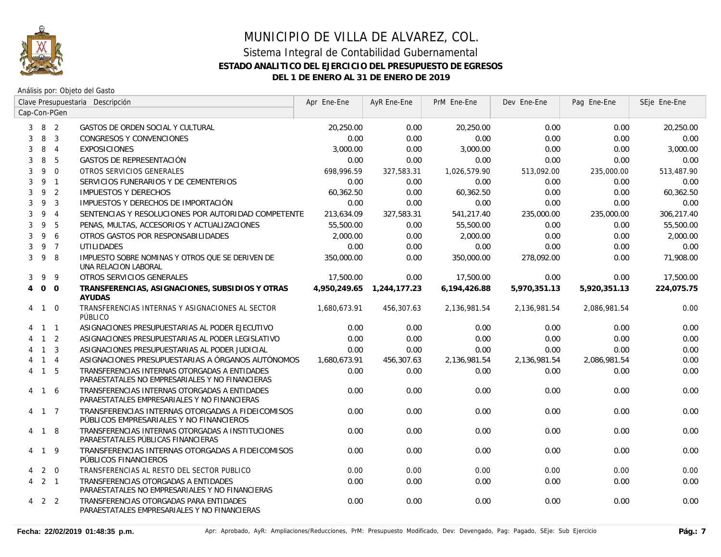

|                |                     | Clave Presupuestaria Descripción |                                                                                                  | Apr Ene-Ene  | AyR Ene-Ene  | PrM Ene-Ene  | Dev Ene-Ene  | Pag Ene-Ene  | SEje Ene-Ene |
|----------------|---------------------|----------------------------------|--------------------------------------------------------------------------------------------------|--------------|--------------|--------------|--------------|--------------|--------------|
|                |                     | Cap-Con-PGen                     |                                                                                                  |              |              |              |              |              |              |
|                | $3 \quad 8 \quad 2$ |                                  | GASTOS DE ORDEN SOCIAL Y CULTURAL                                                                | 20,250.00    | 0.00         | 20,250.00    | 0.00         | 0.00         | 20,250.00    |
| 3              | 8                   | $\overline{3}$                   | <b>CONGRESOS Y CONVENCIONES</b>                                                                  | 0.00         | 0.00         | 0.00         | 0.00         | 0.00         | 0.00         |
| 3              | 8                   | $\overline{4}$                   | <b>EXPOSICIONES</b>                                                                              | 3,000.00     | 0.00         | 3,000.00     | 0.00         | 0.00         | 3,000.00     |
| 3              | 8                   | 5                                | GASTOS DE REPRESENTACIÓN                                                                         | 0.00         | 0.00         | 0.00         | 0.00         | 0.00         | 0.00         |
| 3              | 9                   | $\Omega$                         | OTROS SERVICIOS GENERALES                                                                        | 698.996.59   | 327,583.31   | 1,026,579.90 | 513,092.00   | 235,000.00   | 513,487.90   |
| 3              | 9                   | $\overline{1}$                   | SERVICIOS FUNERARIOS Y DE CEMENTERIOS                                                            | 0.00         | 0.00         | 0.00         | 0.00         | 0.00         | 0.00         |
| 3              | 9                   | $\overline{2}$                   | <b>IMPUESTOS Y DERECHOS</b>                                                                      | 60,362.50    | 0.00         | 60,362.50    | 0.00         | 0.00         | 60,362.50    |
| 3              | 9                   | $\overline{3}$                   | IMPUESTOS Y DERECHOS DE IMPORTACIÓN                                                              | 0.00         | 0.00         | 0.00         | 0.00         | 0.00         | 0.00         |
| 3              | 9                   | $\overline{4}$                   | SENTENCIAS Y RESOLUCIONES POR AUTORIDAD COMPETENTE                                               | 213,634.09   | 327,583.31   | 541,217.40   | 235,000.00   | 235,000.00   | 306,217.40   |
| 3              | 9                   | 5                                | PENAS, MULTAS, ACCESORIOS Y ACTUALIZACIONES                                                      | 55,500.00    | 0.00         | 55,500.00    | 0.00         | 0.00         | 55,500.00    |
| 3              | 9                   | 6                                | OTROS GASTOS POR RESPONSABILIDADES                                                               | 2,000.00     | 0.00         | 2,000.00     | 0.00         | 0.00         | 2,000.00     |
| 3              | 9                   | $\overline{7}$                   | <b>UTILIDADES</b>                                                                                | 0.00         | 0.00         | 0.00         | 0.00         | 0.00         | 0.00         |
| 3              | 9                   | 8                                | IMPUESTO SOBRE NOMINAS Y OTROS QUE SE DERIVEN DE<br>UNA RELACION LABORAL                         | 350,000.00   | 0.00         | 350,000.00   | 278,092.00   | 0.00         | 71,908.00    |
| 3              | 9                   | 9                                | OTROS SERVICIOS GENERALES                                                                        | 17,500.00    | 0.00         | 17,500.00    | 0.00         | 0.00         | 17,500.00    |
| $\overline{4}$ | $0\quad 0$          |                                  | TRANSFERENCIAS, ASIGNACIONES, SUBSIDIOS Y OTRAS<br><b>AYUDAS</b>                                 | 4.950.249.65 | 1,244,177.23 | 6,194,426.88 | 5,970,351.13 | 5,920,351.13 | 224,075.75   |
|                | 4 1 0               |                                  | TRANSFERENCIAS INTERNAS Y ASIGNACIONES AL SECTOR<br>PÚBLICO                                      | 1,680,673.91 | 456,307.63   | 2,136,981.54 | 2,136,981.54 | 2,086,981.54 | 0.00         |
|                | $1\quad1$           |                                  | ASIGNACIONES PRESUPUESTARIAS AL PODER EJECUTIVO                                                  | 0.00         | 0.00         | 0.00         | 0.00         | 0.00         | 0.00         |
|                | $1\quad 2$          |                                  | ASIGNACIONES PRESUPUESTARIAS AL PODER LEGISLATIVO                                                | 0.00         | 0.00         | 0.00         | 0.00         | 0.00         | 0.00         |
|                | $\overline{1}$      | $\overline{3}$                   | ASIGNACIONES PRESUPUESTARIAS AL PODER JUDICIAL                                                   | 0.00         | 0.00         | 0.00         | 0.00         | 0.00         | 0.00         |
|                | $\overline{1}$      | $\overline{4}$                   | ASIGNACIONES PRESUPUESTARIAS A ÓRGANOS AUTÓNOMOS                                                 | 1,680,673.91 | 456,307.63   | 2,136,981.54 | 2,136,981.54 | 2,086,981.54 | 0.00         |
| 4              | 1 5                 |                                  | TRANSFERENCIAS INTERNAS OTORGADAS A ENTIDADES<br>PARAESTATALES NO EMPRESARIALES Y NO FINANCIERAS | 0.00         | 0.00         | 0.00         | 0.00         | 0.00         | 0.00         |
|                | 4 1 6               |                                  | TRANSFERENCIAS INTERNAS OTORGADAS A ENTIDADES<br>PARAESTATALES EMPRESARIALES Y NO FINANCIERAS    | 0.00         | 0.00         | 0.00         | 0.00         | 0.00         | 0.00         |
|                | 4 1 7               |                                  | TRANSFERENCIAS INTERNAS OTORGADAS A FIDEICOMISOS<br>PÚBLICOS EMPRESARIALES Y NO FINANCIEROS      | 0.00         | 0.00         | 0.00         | 0.00         | 0.00         | 0.00         |
|                | 4 1 8               |                                  | TRANSFERENCIAS INTERNAS OTORGADAS A INSTITUCIONES<br>PARAESTATALES PÚBLICAS FINANCIERAS          | 0.00         | 0.00         | 0.00         | 0.00         | 0.00         | 0.00         |
| 4              | 19                  |                                  | TRANSFERENCIAS INTERNAS OTORGADAS A FIDEICOMISOS<br>PÚBLICOS FINANCIEROS                         | 0.00         | 0.00         | 0.00         | 0.00         | 0.00         | 0.00         |
| 4              | 2                   | $\overline{0}$                   | TRANSFERENCIAS AL RESTO DEL SECTOR PUBLICO                                                       | 0.00         | 0.00         | 0.00         | 0.00         | 0.00         | 0.00         |
| 4              | $2 \quad 1$         |                                  | TRANSFERENCIAS OTORGADAS A ENTIDADES<br>PARAESTATALES NO EMPRESARIALES Y NO FINANCIERAS          | 0.00         | 0.00         | 0.00         | 0.00         | 0.00         | 0.00         |
| 4              | 2 2                 |                                  | TRANSFERENCIAS OTORGADAS PARA ENTIDADES<br>PARAESTATALES EMPRESARIALES Y NO FINANCIERAS          | 0.00         | 0.00         | 0.00         | 0.00         | 0.00         | 0.00         |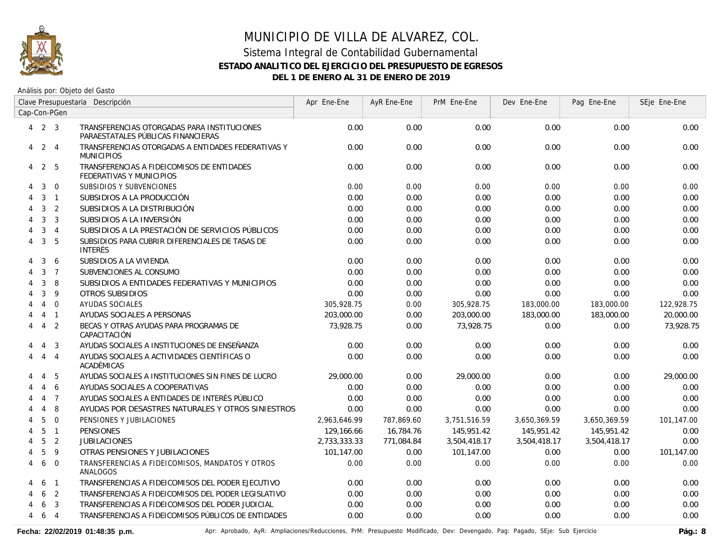

Análisis por: Objeto del Gasto

|   |                   |                | Clave Presupuestaria Descripción                                                  | Apr Ene-Ene  | AyR Ene-Ene | PrM Ene-Ene  | Dev Ene-Ene  | Pag Ene-Ene  | SEje Ene-Ene |
|---|-------------------|----------------|-----------------------------------------------------------------------------------|--------------|-------------|--------------|--------------|--------------|--------------|
|   |                   | Cap-Con-PGen   |                                                                                   |              |             |              |              |              |              |
|   | $4$ 2 3           |                | TRANSFERENCIAS OTORGADAS PARA INSTITUCIONES<br>PARAESTATALES PÚBLICAS FINANCIERAS | 0.00         | 0.00        | 0.00         | 0.00         | 0.00         | 0.00         |
|   | $4\quad 2\quad 4$ |                | TRANSFERENCIAS OTORGADAS A ENTIDADES FEDERATIVAS Y<br><b>MUNICIPIOS</b>           | 0.00         | 0.00        | 0.00         | 0.00         | 0.00         | 0.00         |
|   | 4 2 5             |                | TRANSFERENCIAS A FIDEICOMISOS DE ENTIDADES<br>FEDERATIVAS Y MUNICIPIOS            | 0.00         | 0.00        | 0.00         | 0.00         | 0.00         | 0.00         |
| 4 | 3                 | $\overline{0}$ | SUBSIDIOS Y SUBVENCIONES                                                          | 0.00         | 0.00        | 0.00         | 0.00         | 0.00         | 0.00         |
| 4 | 3 <sub>1</sub>    |                | SUBSIDIOS A LA PRODUCCIÓN                                                         | 0.00         | 0.00        | 0.00         | 0.00         | 0.00         | 0.00         |
| 4 | 3                 | $\overline{2}$ | SUBSIDIOS A LA DISTRIBUCIÓN                                                       | 0.00         | 0.00        | 0.00         | 0.00         | 0.00         | 0.00         |
|   | 3                 | 3              | SUBSIDIOS A LA INVERSIÓN                                                          | 0.00         | 0.00        | 0.00         | 0.00         | 0.00         | 0.00         |
|   | 3                 | $\overline{4}$ | SUBSIDIOS A LA PRESTACIÓN DE SERVICIOS PÚBLICOS                                   | 0.00         | 0.00        | 0.00         | 0.00         | 0.00         | 0.00         |
| 4 | 3                 | 5              | SUBSIDIOS PARA CUBRIR DIFERENCIALES DE TASAS DE<br><b>INTERÉS</b>                 | 0.00         | 0.00        | 0.00         | 0.00         | 0.00         | 0.00         |
| 4 | 3                 | 6              | SUBSIDIOS A LA VIVIENDA                                                           | 0.00         | 0.00        | 0.00         | 0.00         | 0.00         | 0.00         |
|   | 3                 | $\overline{7}$ | SUBVENCIONES AL CONSUMO                                                           | 0.00         | 0.00        | 0.00         | 0.00         | 0.00         | 0.00         |
|   | 3                 | 8              | SUBSIDIOS A ENTIDADES FEDERATIVAS Y MUNICIPIOS                                    | 0.00         | 0.00        | 0.00         | 0.00         | 0.00         | 0.00         |
|   | 3                 | 9              | OTROS SUBSIDIOS                                                                   | 0.00         | 0.00        | 0.00         | 0.00         | 0.00         | 0.00         |
|   | 4                 | $\mathbf 0$    | AYUDAS SOCIALES                                                                   | 305,928.75   | 0.00        | 305,928.75   | 183,000.00   | 183,000.00   | 122,928.75   |
|   | $\overline{4}$    | $\overline{1}$ | AYUDAS SOCIALES A PERSONAS                                                        | 203,000.00   | 0.00        | 203,000.00   | 183,000.00   | 183,000.00   | 20,000.00    |
| 4 | $\overline{4}$    | $\overline{2}$ | BECAS Y OTRAS AYUDAS PARA PROGRAMAS DE<br>CAPACITACIÓN                            | 73,928.75    | 0.00        | 73,928.75    | 0.00         | 0.00         | 73,928.75    |
| 4 | 4                 | -3             | AYUDAS SOCIALES A INSTITUCIONES DE ENSEÑANZA                                      | 0.00         | 0.00        | 0.00         | 0.00         | 0.00         | 0.00         |
| 4 | $\overline{4}$    | $\overline{4}$ | AYUDAS SOCIALES A ACTIVIDADES CIENTÍFICAS O<br>ACADÉMICAS                         | 0.00         | 0.00        | 0.00         | 0.00         | 0.00         | 0.00         |
|   | $\overline{4}$    | 5              | AYUDAS SOCIALES A INSTITUCIONES SIN FINES DE LUCRO                                | 29,000.00    | 0.00        | 29,000.00    | 0.00         | 0.00         | 29,000.00    |
|   | 4                 | 6              | AYUDAS SOCIALES A COOPERATIVAS                                                    | 0.00         | 0.00        | 0.00         | 0.00         | 0.00         | 0.00         |
|   | $\overline{4}$    | $\overline{7}$ | AYUDAS SOCIALES A ENTIDADES DE INTERÉS PÚBLICO                                    | 0.00         | 0.00        | 0.00         | 0.00         | 0.00         | 0.00         |
|   | $\overline{4}$    | 8              | AYUDAS POR DESASTRES NATURALES Y OTROS SINIESTROS                                 | 0.00         | 0.00        | 0.00         | 0.00         | 0.00         | 0.00         |
| 4 | 5                 | $\Omega$       | PENSIONES Y JUBILACIONES                                                          | 2,963,646.99 | 787,869.60  | 3,751,516.59 | 3,650,369.59 | 3,650,369.59 | 101,147.00   |
| 4 | 5                 | $\overline{1}$ | <b>PENSIONES</b>                                                                  | 129,166.66   | 16,784.76   | 145,951.42   | 145,951.42   | 145,951.42   | 0.00         |
| 4 | 5                 | $\overline{2}$ | <b>JUBILACIONES</b>                                                               | 2,733,333.33 | 771,084.84  | 3,504,418.17 | 3,504,418.17 | 3,504,418.17 | 0.00         |
|   | 5                 | $\overline{9}$ | OTRAS PENSIONES Y JUBILACIONES                                                    | 101.147.00   | 0.00        | 101,147.00   | 0.00         | 0.00         | 101,147.00   |
| 4 | 6                 | $\overline{0}$ | TRANSFERENCIAS A FIDEICOMISOS, MANDATOS Y OTROS<br>ANALOGOS                       | 0.00         | 0.00        | 0.00         | 0.00         | 0.00         | 0.00         |
| 4 | 6                 | $\overline{1}$ | TRANSFERENCIAS A FIDEICOMISOS DEL PODER EJECUTIVO                                 | 0.00         | 0.00        | 0.00         | 0.00         | 0.00         | 0.00         |
| 4 | 6                 | $\overline{2}$ | TRANSFERENCIAS A FIDEICOMISOS DEL PODER LEGISLATIVO                               | 0.00         | 0.00        | 0.00         | 0.00         | 0.00         | 0.00         |
|   | 6                 | $\overline{3}$ | TRANSFERENCIAS A FIDEICOMISOS DEL PODER JUDICIAL                                  | 0.00         | 0.00        | 0.00         | 0.00         | 0.00         | 0.00         |
| 4 | 6                 | $\overline{4}$ | TRANSFERENCIAS A FIDEICOMISOS PÚBLICOS DE ENTIDADES                               | 0.00         | 0.00        | 0.00         | 0.00         | 0.00         | 0.00         |

Fecha: 22/02/2019 01:48:35 p.m. **Anche Apripagado, AyR: Ampliaciones/Reducciones, PrM: Presupuesto Modificado, Dev: Devengado, Pag: Pagado, SEje: Sub Ejercicio Pág.: 8**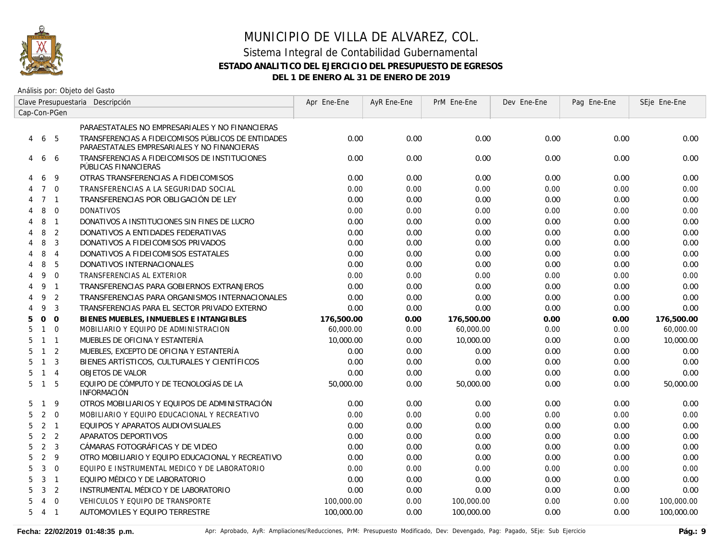

Análisis por: Objeto del Gasto

|                                       | Clave Presupuestaria Descripción                                                                    | Apr Ene-Ene | AyR Ene-Ene | PrM Ene-Ene | Dev Ene-Ene | Pag Ene-Ene | SEje Ene-Ene |
|---------------------------------------|-----------------------------------------------------------------------------------------------------|-------------|-------------|-------------|-------------|-------------|--------------|
| Cap-Con-PGen                          |                                                                                                     |             |             |             |             |             |              |
|                                       | PARAESTATALES NO EMPRESARIALES Y NO FINANCIERAS                                                     |             |             |             |             |             |              |
| - 5<br>6<br>4                         | TRANSFERENCIAS A FIDEICOMISOS PÚBLICOS DE ENTIDADES<br>PARAESTATALES EMPRESARIALES Y NO FINANCIERAS | 0.00        | 0.00        | 0.00        | 0.00        | 0.00        | 0.00         |
| 6<br>6<br>4                           | TRANSFERENCIAS A FIDEICOMISOS DE INSTITUCIONES<br>PÚBLICAS FINANCIERAS                              | 0.00        | 0.00        | 0.00        | 0.00        | 0.00        | 0.00         |
| 9<br>6                                | OTRAS TRANSFERENCIAS A FIDEICOMISOS                                                                 | 0.00        | 0.00        | 0.00        | 0.00        | 0.00        | 0.00         |
| $\Omega$<br>$\overline{7}$            | TRANSFERENCIAS A LA SEGURIDAD SOCIAL                                                                | 0.00        | 0.00        | 0.00        | 0.00        | 0.00        | 0.00         |
| $\overline{7}$<br>$\overline{1}$      | TRANSFERENCIAS POR OBLIGACIÓN DE LEY                                                                | 0.00        | 0.00        | 0.00        | 0.00        | 0.00        | 0.00         |
| 8<br>$\overline{0}$<br>4              | <b>DONATIVOS</b>                                                                                    | 0.00        | 0.00        | 0.00        | 0.00        | 0.00        | 0.00         |
| 8<br>$\overline{1}$<br>4              | DONATIVOS A INSTITUCIONES SIN FINES DE LUCRO                                                        | 0.00        | 0.00        | 0.00        | 0.00        | 0.00        | 0.00         |
| 8<br>2<br>4                           | DONATIVOS A ENTIDADES FEDERATIVAS                                                                   | 0.00        | 0.00        | 0.00        | 0.00        | 0.00        | 0.00         |
| 8<br>3<br>4                           | DONATIVOS A FIDEICOMISOS PRIVADOS                                                                   | 0.00        | 0.00        | 0.00        | 0.00        | 0.00        | 0.00         |
| 8<br>$\overline{4}$<br>4              | DONATIVOS A FIDEICOMISOS ESTATALES                                                                  | 0.00        | 0.00        | 0.00        | 0.00        | 0.00        | 0.00         |
| 5<br>8<br>4                           | DONATIVOS INTERNACIONALES                                                                           | 0.00        | 0.00        | 0.00        | 0.00        | 0.00        | 0.00         |
| $\mathbf{0}$<br>9<br>4                | TRANSFERENCIAS AL EXTERIOR                                                                          | 0.00        | 0.00        | 0.00        | 0.00        | 0.00        | 0.00         |
| 9<br>$\overline{1}$                   | TRANSFERENCIAS PARA GOBIERNOS EXTRANJEROS                                                           | 0.00        | 0.00        | 0.00        | 0.00        | 0.00        | 0.00         |
| 2<br>9<br>4                           | TRANSFERENCIAS PARA ORGANISMOS INTERNACIONALES                                                      | 0.00        | 0.00        | 0.00        | 0.00        | 0.00        | 0.00         |
| $\mathbf{3}$<br>9                     | TRANSFERENCIAS PARA EL SECTOR PRIVADO EXTERNO                                                       | 0.00        | 0.00        | 0.00        | 0.00        | 0.00        | 0.00         |
| $\Omega$<br>$\mathbf{O}$<br>5         | BIENES MUEBLES, INMUEBLES E INTANGIBLES                                                             | 176,500.00  | 0.00        | 176,500.00  | 0.00        | 0.00        | 176,500.00   |
| $\Omega$<br>5<br>$\mathbf{1}$         | MOBILIARIO Y EQUIPO DE ADMINISTRACION                                                               | 60,000.00   | 0.00        | 60,000.00   | 0.00        | 0.00        | 60,000.00    |
| $\mathbf{1}$<br>$\overline{1}$<br>5   | MUEBLES DE OFICINA Y ESTANTERÍA                                                                     | 10,000.00   | 0.00        | 10,000.00   | 0.00        | 0.00        | 10,000.00    |
| 2<br>$\mathbf{1}$<br>5                | MUEBLES, EXCEPTO DE OFICINA Y ESTANTERÍA                                                            | 0.00        | 0.00        | 0.00        | 0.00        | 0.00        | 0.00         |
| $\overline{3}$<br>5<br>$\mathbf{1}$   | BIENES ARTÍSTICOS, CULTURALES Y CIENTÍFICOS                                                         | 0.00        | 0.00        | 0.00        | 0.00        | 0.00        | 0.00         |
| $1 \quad 4$<br>5                      | OBJETOS DE VALOR                                                                                    | 0.00        | 0.00        | 0.00        | 0.00        | 0.00        | 0.00         |
| 5<br>5<br>$\mathbf{1}$                | EQUIPO DE CÓMPUTO Y DE TECNOLOGÍAS DE LA<br><b>INFORMACIÓN</b>                                      | 50,000.00   | 0.00        | 50,000.00   | 0.00        | 0.00        | 50,000.00    |
| 9<br>$\mathbf{1}$<br>5                | OTROS MOBILIARIOS Y EQUIPOS DE ADMINISTRACIÓN                                                       | 0.00        | 0.00        | 0.00        | 0.00        | 0.00        | 0.00         |
| $\mathbf{0}$<br>2<br>5                | MOBILIARIO Y EQUIPO EDUCACIONAL Y RECREATIVO                                                        | 0.00        | 0.00        | 0.00        | 0.00        | 0.00        | 0.00         |
| 2<br>$\overline{1}$<br>5              | EQUIPOS Y APARATOS AUDIOVISUALES                                                                    | 0.00        | 0.00        | 0.00        | 0.00        | 0.00        | 0.00         |
| 2<br>2<br>5                           | APARATOS DEPORTIVOS                                                                                 | 0.00        | 0.00        | 0.00        | 0.00        | 0.00        | 0.00         |
| $\overline{2}$<br>3<br>5              | CÁMARAS FOTOGRÁFICAS Y DE VIDEO                                                                     | 0.00        | 0.00        | 0.00        | 0.00        | 0.00        | 0.00         |
| $\overline{2}$<br>9<br>5              | OTRO MOBILIARIO Y EQUIPO EDUCACIONAL Y RECREATIVO                                                   | 0.00        | 0.00        | 0.00        | 0.00        | 0.00        | 0.00         |
| 3<br>5<br>$\mathbf 0$                 | EQUIPO E INSTRUMENTAL MEDICO Y DE LABORATORIO                                                       | 0.00        | 0.00        | 0.00        | 0.00        | 0.00        | 0.00         |
| 3<br>$\overline{1}$<br>5              | EQUIPO MÉDICO Y DE LABORATORIO                                                                      | 0.00        | 0.00        | 0.00        | 0.00        | 0.00        | 0.00         |
| 3<br>2<br>5                           | INSTRUMENTAL MÉDICO Y DE LABORATORIO                                                                | 0.00        | 0.00        | 0.00        | 0.00        | 0.00        | 0.00         |
| $\overline{0}$<br>5<br>$\overline{4}$ | VEHICULOS Y EQUIPO DE TRANSPORTE                                                                    | 100,000.00  | 0.00        | 100,000.00  | 0.00        | 0.00        | 100,000.00   |
| $5\quad 4$<br>$\overline{1}$          | <b>AUTOMOVILES Y EQUIPO TERRESTRE</b>                                                               | 100,000.00  | 0.00        | 100,000.00  | 0.00        | 0.00        | 100,000.00   |
|                                       |                                                                                                     |             |             |             |             |             |              |

Fecha: 22/02/2019 01:48:35 p.m. **Aprical Aprical Agelia**, AyR: Ampliaciones/Reducciones, PrM: Presupuesto Modificado, Dev: Devengado, Pag: Pagado, SEje: Sub Ejercicio **Pág.: 9**<br>Pág.: 9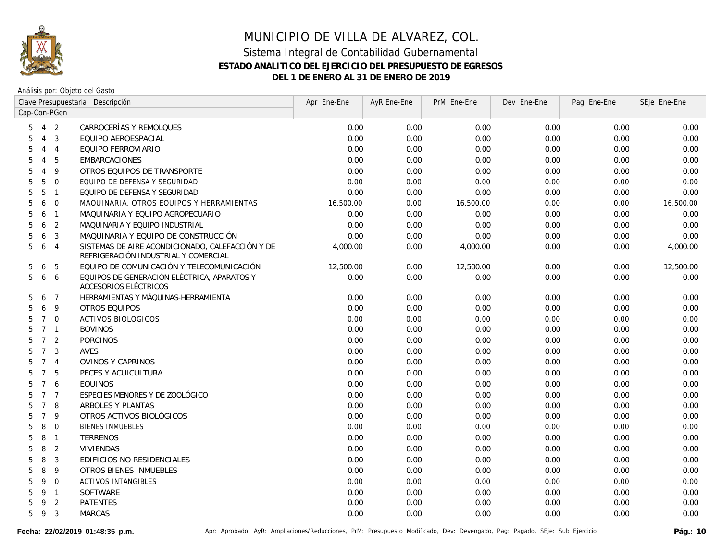

|   |                   |                | Clave Presupuestaria Descripción                                                         | Apr Ene-Ene | AyR Ene-Ene | PrM Ene-Ene | Dev Ene-Ene | Pag Ene-Ene | SEje Ene-Ene |
|---|-------------------|----------------|------------------------------------------------------------------------------------------|-------------|-------------|-------------|-------------|-------------|--------------|
|   |                   | Cap-Con-PGen   |                                                                                          |             |             |             |             |             |              |
|   | $5\quad 4\quad 2$ |                | CARROCERÍAS Y REMOLQUES                                                                  | 0.00        | 0.00        | 0.00        | 0.00        | 0.00        | 0.00         |
| 5 | $\overline{4}$    | $\overline{3}$ | EQUIPO AEROESPACIAL                                                                      | 0.00        | 0.00        | 0.00        | 0.00        | 0.00        | 0.00         |
| 5 | $\overline{4}$    | $\overline{4}$ | EQUIPO FERROVIARIO                                                                       | 0.00        | 0.00        | 0.00        | 0.00        | 0.00        | 0.00         |
| 5 | $\overline{4}$    | 5              | EMBARCACIONES                                                                            | 0.00        | 0.00        | 0.00        | 0.00        | 0.00        | 0.00         |
| 5 | $\overline{4}$    | 9              | OTROS EQUIPOS DE TRANSPORTE                                                              | 0.00        | 0.00        | 0.00        | 0.00        | 0.00        | 0.00         |
| 5 | 5                 | $\overline{0}$ | EQUIPO DE DEFENSA Y SEGURIDAD                                                            | 0.00        | 0.00        | 0.00        | 0.00        | 0.00        | 0.00         |
| 5 | 5                 | $\overline{1}$ | EQUIPO DE DEFENSA Y SEGURIDAD                                                            | 0.00        | 0.00        | 0.00        | 0.00        | 0.00        | 0.00         |
| 5 | 6                 | $\overline{0}$ | MAQUINARIA, OTROS EQUIPOS Y HERRAMIENTAS                                                 | 16,500.00   | 0.00        | 16,500.00   | 0.00        | 0.00        | 16,500.00    |
| 5 | 6                 | $\overline{1}$ | MAQUINARIA Y EQUIPO AGROPECUARIO                                                         | 0.00        | 0.00        | 0.00        | 0.00        | 0.00        | 0.00         |
| 5 | 6                 | 2              | MAQUINARIA Y EQUIPO INDUSTRIAL                                                           | 0.00        | 0.00        | 0.00        | 0.00        | 0.00        | 0.00         |
| 5 | 6                 | $\overline{3}$ | MAQUINARIA Y EQUIPO DE CONSTRUCCIÓN                                                      | 0.00        | 0.00        | 0.00        | 0.00        | 0.00        | 0.00         |
| 5 | 6                 | $\overline{4}$ | SISTEMAS DE AIRE ACONDICIONADO, CALEFACCIÓN Y DE<br>REFRIGERACIÓN INDUSTRIAL Y COMERCIAL | 4,000.00    | 0.00        | 4,000.00    | 0.00        | 0.00        | 4,000.00     |
| 5 | 6                 | 5              | EQUIPO DE COMUNICACIÓN Y TELECOMUNICACIÓN                                                | 12,500.00   | 0.00        | 12,500.00   | 0.00        | 0.00        | 12,500.00    |
|   | 5 6               | 6              | EQUIPOS DE GENERACIÓN ELÉCTRICA, APARATOS Y<br>ACCESORIOS ELÉCTRICOS                     | 0.00        | 0.00        | 0.00        | 0.00        | 0.00        | 0.00         |
| 5 | 6                 | $\overline{7}$ | HERRAMIENTAS Y MÁQUINAS-HERRAMIENTA                                                      | 0.00        | 0.00        | 0.00        | 0.00        | 0.00        | 0.00         |
| 5 | 6                 | 9              | <b>OTROS EQUIPOS</b>                                                                     | 0.00        | 0.00        | 0.00        | 0.00        | 0.00        | 0.00         |
| 5 | $7^{\circ}$       | $\Omega$       | <b>ACTIVOS BIOLOGICOS</b>                                                                | 0.00        | 0.00        | 0.00        | 0.00        | 0.00        | 0.00         |
| 5 | $7 \quad 1$       |                | <b>BOVINOS</b>                                                                           | 0.00        | 0.00        | 0.00        | 0.00        | 0.00        | 0.00         |
| 5 | 7 <sup>2</sup>    |                | <b>PORCINOS</b>                                                                          | 0.00        | 0.00        | 0.00        | 0.00        | 0.00        | 0.00         |
| 5 | 7 <sup>3</sup>    |                | <b>AVES</b>                                                                              | 0.00        | 0.00        | 0.00        | 0.00        | 0.00        | 0.00         |
| 5 | 7 <sub>4</sub>    |                | OVINOS Y CAPRINOS                                                                        | 0.00        | 0.00        | 0.00        | 0.00        | 0.00        | 0.00         |
| 5 | 7 <sub>5</sub>    |                | PECES Y ACUICULTURA                                                                      | 0.00        | 0.00        | 0.00        | 0.00        | 0.00        | 0.00         |
| 5 | 7 6               |                | <b>EQUINOS</b>                                                                           | 0.00        | 0.00        | 0.00        | 0.00        | 0.00        | 0.00         |
| 5 | 7 <sub>7</sub>    |                | ESPECIES MENORES Y DE ZOOLÓGICO                                                          | 0.00        | 0.00        | 0.00        | 0.00        | 0.00        | 0.00         |
| 5 | $\overline{7}$    | 8              | ARBOLES Y PLANTAS                                                                        | 0.00        | 0.00        | 0.00        | 0.00        | 0.00        | 0.00         |
| 5 | $\overline{7}$    | - 9            | OTROS ACTIVOS BIOLÓGICOS                                                                 | 0.00        | 0.00        | 0.00        | 0.00        | 0.00        | 0.00         |
| 5 | 8                 | $\overline{0}$ | <b>BIENES INMUEBLES</b>                                                                  | 0.00        | 0.00        | 0.00        | 0.00        | 0.00        | 0.00         |
| 5 | 8                 | $\overline{1}$ | <b>TERRENOS</b>                                                                          | 0.00        | 0.00        | 0.00        | 0.00        | 0.00        | 0.00         |
| 5 | 8                 | $\overline{2}$ | VIVIENDAS                                                                                | 0.00        | 0.00        | 0.00        | 0.00        | 0.00        | 0.00         |
| 5 | 8                 | 3              | EDIFICIOS NO RESIDENCIALES                                                               | 0.00        | 0.00        | 0.00        | 0.00        | 0.00        | 0.00         |
| 5 | 8                 | 9              | <b>OTROS BIENES INMUEBLES</b>                                                            | 0.00        | 0.00        | 0.00        | 0.00        | 0.00        | 0.00         |
| 5 | 9                 | $\overline{0}$ | <b>ACTIVOS INTANGIBLES</b>                                                               | 0.00        | 0.00        | 0.00        | 0.00        | 0.00        | 0.00         |
| 5 | 9 1               |                | SOFTWARE                                                                                 | 0.00        | 0.00        | 0.00        | 0.00        | 0.00        | 0.00         |
| 5 | 9                 | 2              | <b>PATENTES</b>                                                                          | 0.00        | 0.00        | 0.00        | 0.00        | 0.00        | 0.00         |
| 5 | 9                 | $\overline{3}$ | <b>MARCAS</b>                                                                            | 0.00        | 0.00        | 0.00        | 0.00        | 0.00        | 0.00         |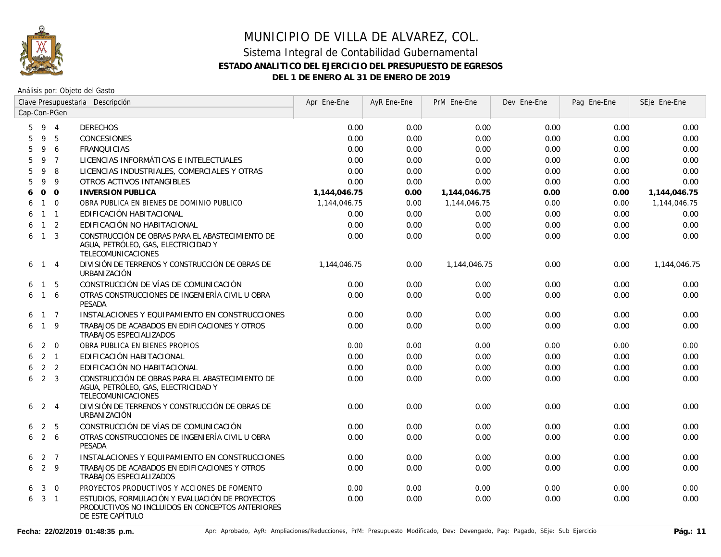

|   |                     |                     | Clave Presupuestaria Descripción                                                                                        | Apr Ene-Ene  | AyR Ene-Ene | PrM Ene-Ene  | Dev Ene-Ene | Pag Ene-Ene | SEje Ene-Ene |
|---|---------------------|---------------------|-------------------------------------------------------------------------------------------------------------------------|--------------|-------------|--------------|-------------|-------------|--------------|
|   |                     | Cap-Con-PGen        |                                                                                                                         |              |             |              |             |             |              |
| 5 |                     | 9 4                 | <b>DERECHOS</b>                                                                                                         | 0.00         | 0.00        | 0.00         | 0.00        | 0.00        | 0.00         |
| 5 | 9                   | 5                   | <b>CONCESIONES</b>                                                                                                      | 0.00         | 0.00        | 0.00         | 0.00        | 0.00        | 0.00         |
| 5 | 9                   | $\ddot{\mathbf{6}}$ | <b>FRANQUICIAS</b>                                                                                                      | 0.00         | 0.00        | 0.00         | 0.00        | 0.00        | 0.00         |
| 5 | 9                   | $\overline{7}$      | LICENCIAS INFORMÁTICAS E INTELECTUALES                                                                                  | 0.00         | 0.00        | 0.00         | 0.00        | 0.00        | 0.00         |
| 5 | 9                   | 8                   | LICENCIAS INDUSTRIALES, COMERCIALES Y OTRAS                                                                             | 0.00         | 0.00        | 0.00         | 0.00        | 0.00        | 0.00         |
| 5 | 9                   | 9                   | OTROS ACTIVOS INTANGIBLES                                                                                               | 0.00         | 0.00        | 0.00         | 0.00        | 0.00        | 0.00         |
| 6 | $\mathbf{O}$        | $\overline{O}$      | <b>INVERSION PUBLICA</b>                                                                                                | 1,144,046.75 | 0.00        | 1,144,046.75 | 0.00        | 0.00        | 1,144,046.75 |
| 6 | $\mathbf{1}$        | $\overline{0}$      | OBRA PUBLICA EN BIENES DE DOMINIO PUBLICO                                                                               | 1,144,046.75 | 0.00        | 1,144,046.75 | 0.00        | 0.00        | 1,144,046.75 |
| 6 | $\mathbf{1}$        | $\overline{1}$      | EDIFICACIÓN HABITACIONAL                                                                                                | 0.00         | 0.00        | 0.00         | 0.00        | 0.00        | 0.00         |
| 6 |                     | $1\quad 2$          | EDIFICACIÓN NO HABITACIONAL                                                                                             | 0.00         | 0.00        | 0.00         | 0.00        | 0.00        | 0.00         |
| 6 |                     | $1 \quad 3$         | CONSTRUCCIÓN DE OBRAS PARA EL ABASTECIMIENTO DE<br>AGUA, PETRÓLEO, GAS, ELECTRICIDAD Y<br>TELECOMUNICACIONES            | 0.00         | 0.00        | 0.00         | 0.00        | 0.00        | 0.00         |
| 6 |                     | $1 \quad 4$         | DIVISIÓN DE TERRENOS Y CONSTRUCCIÓN DE OBRAS DE<br>URBANIZACIÓN                                                         | 1.144.046.75 | 0.00        | 1,144,046.75 | 0.00        | 0.00        | 1,144,046.75 |
| 6 | $\overline{1}$      | 5                   | CONSTRUCCIÓN DE VÍAS DE COMUNICACIÓN                                                                                    | 0.00         | 0.00        | 0.00         | 0.00        | 0.00        | 0.00         |
| 6 |                     | 1 6                 | OTRAS CONSTRUCCIONES DE INGENIERÍA CIVIL U OBRA<br>PESADA                                                               | 0.00         | 0.00        | 0.00         | 0.00        | 0.00        | 0.00         |
| 6 |                     | $1 \quad 7$         | INSTALACIONES Y EQUIPAMIENTO EN CONSTRUCCIONES                                                                          | 0.00         | 0.00        | 0.00         | 0.00        | 0.00        | 0.00         |
| 6 |                     | 1 9                 | TRABAJOS DE ACABADOS EN EDIFICACIONES Y OTROS<br>TRABAJOS ESPECIALIZADOS                                                | 0.00         | 0.00        | 0.00         | 0.00        | 0.00        | 0.00         |
| 6 |                     | $2 \quad 0$         | OBRA PUBLICA EN BIENES PROPIOS                                                                                          | 0.00         | 0.00        | 0.00         | 0.00        | 0.00        | 0.00         |
| 6 |                     | $2 \quad 1$         | EDIFICACIÓN HABITACIONAL                                                                                                | 0.00         | 0.00        | 0.00         | 0.00        | 0.00        | 0.00         |
| 6 |                     | 2 <sub>2</sub>      | EDIFICACIÓN NO HABITACIONAL                                                                                             | 0.00         | 0.00        | 0.00         | 0.00        | 0.00        | 0.00         |
| 6 |                     | 2 <sup>3</sup>      | CONSTRUCCIÓN DE OBRAS PARA EL ABASTECIMIENTO DE<br>AGUA, PETRÓLEO, GAS, ELECTRICIDAD Y<br><b>TELECOMUNICACIONES</b>     | 0.00         | 0.00        | 0.00         | 0.00        | 0.00        | 0.00         |
| 6 | 2 4                 |                     | DIVISIÓN DE TERRENOS Y CONSTRUCCIÓN DE OBRAS DE<br><b>URBANIZACIÓN</b>                                                  | 0.00         | 0.00        | 0.00         | 0.00        | 0.00        | 0.00         |
| 6 | $\overline{2}$      | 5                   | CONSTRUCCIÓN DE VÍAS DE COMUNICACIÓN                                                                                    | 0.00         | 0.00        | 0.00         | 0.00        | 0.00        | 0.00         |
| 6 | 2 6                 |                     | OTRAS CONSTRUCCIONES DE INGENIERÍA CIVIL U OBRA<br>PESADA                                                               | 0.00         | 0.00        | 0.00         | 0.00        | 0.00        | 0.00         |
| 6 |                     | 2 <sub>7</sub>      | INSTALACIONES Y EQUIPAMIENTO EN CONSTRUCCIONES                                                                          | 0.00         | 0.00        | 0.00         | 0.00        | 0.00        | 0.00         |
| 6 |                     | $2 \quad 9$         | TRABAJOS DE ACABADOS EN EDIFICACIONES Y OTROS<br>TRABAJOS ESPECIALIZADOS                                                | 0.00         | 0.00        | 0.00         | 0.00        | 0.00        | 0.00         |
| 6 | $\mathbf{3}$        | $\overline{0}$      | PROYECTOS PRODUCTIVOS Y ACCIONES DE FOMENTO                                                                             | 0.00         | 0.00        | 0.00         | 0.00        | 0.00        | 0.00         |
|   | $6 \quad 3 \quad 1$ |                     | ESTUDIOS, FORMULACIÓN Y EVALUACIÓN DE PROYECTOS<br>PRODUCTIVOS NO INCLUIDOS EN CONCEPTOS ANTERIORES<br>DE ESTE CAPÍTULO | 0.00         | 0.00        | 0.00         | 0.00        | 0.00        | 0.00         |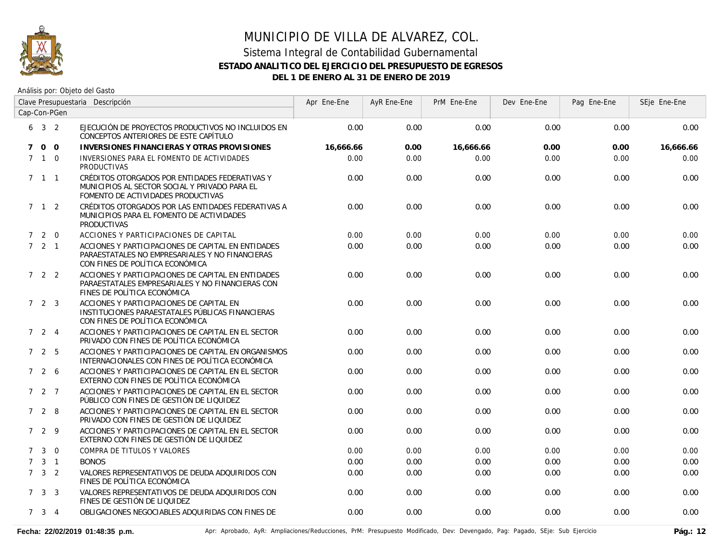

# MUNICIPIO DE VILLA DE ALVAREZ, COL. Sistema Integral de Contabilidad Gubernamental **ESTADO ANALITICO DEL EJERCICIO DEL PRESUPUESTO DE EGRESOS**

**DEL 1 DE ENERO AL 31 DE ENERO DE 2019**

|             |                     | Clave Presupuestaria Descripción |                                                                                                                                          | Apr Ene-Ene | AyR Ene-Ene | PrM Ene-Ene | Dev Ene-Ene | Pag Ene-Ene | SEje Ene-Ene |
|-------------|---------------------|----------------------------------|------------------------------------------------------------------------------------------------------------------------------------------|-------------|-------------|-------------|-------------|-------------|--------------|
|             |                     | Cap-Con-PGen                     |                                                                                                                                          |             |             |             |             |             |              |
|             | $6 \t3 \t2$         |                                  | EJECUCIÓN DE PROYECTOS PRODUCTIVOS NO INCLUIDOS EN<br>CONCEPTOS ANTERIORES DE ESTE CAPÍTULO                                              | 0.00        | 0.00        | 0.00        | 0.00        | 0.00        | 0.00         |
| $7^{\circ}$ |                     | $0\quad 0$                       | INVERSIONES FINANCIERAS Y OTRAS PROVISIONES                                                                                              | 16,666.66   | 0.00        | 16,666.66   | 0.00        | 0.00        | 16,666.66    |
|             | $7 \quad 1 \quad 0$ |                                  | INVERSIONES PARA EL FOMENTO DE ACTIVIDADES<br><b>PRODUCTIVAS</b>                                                                         | 0.00        | 0.00        | 0.00        | 0.00        | 0.00        | 0.00         |
|             | $7 \quad 1 \quad 1$ |                                  | CRÉDITOS OTORGADOS POR ENTIDADES FEDERATIVAS Y<br>MUNICIPIOS AL SECTOR SOCIAL Y PRIVADO PARA EL<br>FOMENTO DE ACTIVIDADES PRODUCTIVAS    | 0.00        | 0.00        | 0.00        | 0.00        | 0.00        | 0.00         |
|             | $7 \quad 1 \quad 2$ |                                  | CRÉDITOS OTORGADOS POR LAS ENTIDADES FEDERATIVAS A<br>MUNICIPIOS PARA EL FOMENTO DE ACTIVIDADES<br><b>PRODUCTIVAS</b>                    | 0.00        | 0.00        | 0.00        | 0.00        | 0.00        | 0.00         |
|             | 720                 |                                  | ACCIONES Y PARTICIPACIONES DE CAPITAL                                                                                                    | 0.00        | 0.00        | 0.00        | 0.00        | 0.00        | 0.00         |
|             | $7 \quad 2 \quad 1$ |                                  | ACCIONES Y PARTICIPACIONES DE CAPITAL EN ENTIDADES<br>PARAESTATALES NO EMPRESARIALES Y NO FINANCIERAS<br>CON FINES DE POLÍTICA ECONÓMICA | 0.00        | 0.00        | 0.00        | 0.00        | 0.00        | 0.00         |
|             | 722                 |                                  | ACCIONES Y PARTICIPACIONES DE CAPITAL EN ENTIDADES<br>PARAESTATALES EMPRESARIALES Y NO FINANCIERAS CON<br>FINES DE POLÍTICA ECONÓMICA    | 0.00        | 0.00        | 0.00        | 0.00        | 0.00        | 0.00         |
|             | $7\quad 2\quad 3$   |                                  | ACCIONES Y PARTICIPACIONES DE CAPITAL EN<br>INSTITUCIONES PARAESTATALES PÚBLICAS FINANCIERAS<br>CON FINES DE POLÍTICA ECONÓMICA          | 0.00        | 0.00        | 0.00        | 0.00        | 0.00        | 0.00         |
|             | 724                 |                                  | ACCIONES Y PARTICIPACIONES DE CAPITAL EN EL SECTOR<br>PRIVADO CON FINES DE POLÍTICA ECONÓMICA                                            | 0.00        | 0.00        | 0.00        | 0.00        | 0.00        | 0.00         |
|             | 725                 |                                  | ACCIONES Y PARTICIPACIONES DE CAPITAL EN ORGANISMOS<br>INTERNACIONALES CON FINES DE POLÍTICA ECONÓMICA                                   | 0.00        | 0.00        | 0.00        | 0.00        | 0.00        | 0.00         |
|             | 726                 |                                  | ACCIONES Y PARTICIPACIONES DE CAPITAL EN EL SECTOR<br>EXTERNO CON FINES DE POLÍTICA ECONÓMICA                                            | 0.00        | 0.00        | 0.00        | 0.00        | 0.00        | 0.00         |
|             | $727$               |                                  | ACCIONES Y PARTICIPACIONES DE CAPITAL EN EL SECTOR<br>PÚBLICO CON FINES DE GESTIÓN DE LIQUIDEZ                                           | 0.00        | 0.00        | 0.00        | 0.00        | 0.00        | 0.00         |
|             | 728                 |                                  | ACCIONES Y PARTICIPACIONES DE CAPITAL EN EL SECTOR<br>PRIVADO CON FINES DE GESTIÓN DE LIQUIDEZ                                           | 0.00        | 0.00        | 0.00        | 0.00        | 0.00        | 0.00         |
|             | 729                 |                                  | ACCIONES Y PARTICIPACIONES DE CAPITAL EN EL SECTOR<br>EXTERNO CON FINES DE GESTIÓN DE LIQUIDEZ                                           | 0.00        | 0.00        | 0.00        | 0.00        | 0.00        | 0.00         |
| $7^{\circ}$ | $\mathbf{3}$        | $\overline{0}$                   | COMPRA DE TITULOS Y VALORES                                                                                                              | 0.00        | 0.00        | 0.00        | 0.00        | 0.00        | 0.00         |
| $7^{\circ}$ |                     | $3 \quad 1$                      | <b>BONOS</b>                                                                                                                             | 0.00        | 0.00        | 0.00        | 0.00        | 0.00        | 0.00         |
|             | $7 \quad 3 \quad 2$ |                                  | VALORES REPRESENTATIVOS DE DEUDA ADQUIRIDOS CON<br>FINES DE POLÍTICA ECONÓMICA                                                           | 0.00        | 0.00        | 0.00        | 0.00        | 0.00        | 0.00         |
|             | $7 \quad 3 \quad 3$ |                                  | VALORES REPRESENTATIVOS DE DEUDA ADQUIRIDOS CON<br>FINES DE GESTIÓN DE LIQUIDEZ                                                          | 0.00        | 0.00        | 0.00        | 0.00        | 0.00        | 0.00         |
|             | $7 \quad 3 \quad 4$ |                                  | OBLIGACIONES NEGOCIABLES ADQUIRIDAS CON FINES DE                                                                                         | 0.00        | 0.00        | 0.00        | 0.00        | 0.00        | 0.00         |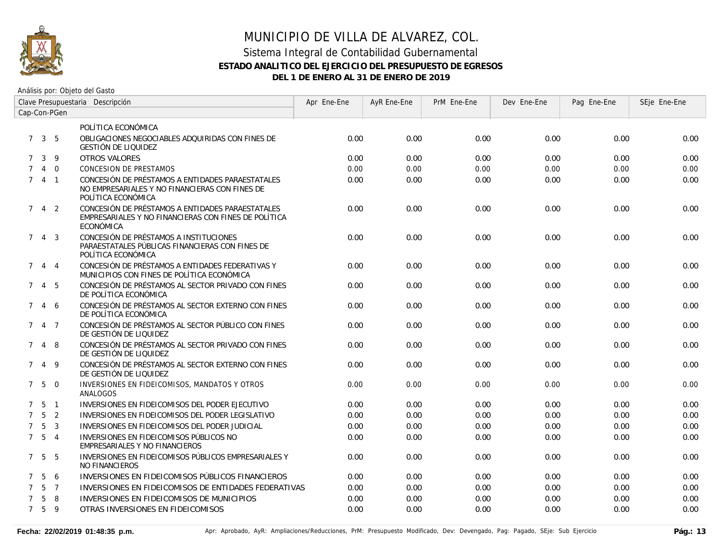

# MUNICIPIO DE VILLA DE ALVAREZ, COL.

#### Sistema Integral de Contabilidad Gubernamental **ESTADO ANALITICO DEL EJERCICIO DEL PRESUPUESTO DE EGRESOS DEL 1 DE ENERO AL 31 DE ENERO DE 2019**

| Clave Presupuestaria Descripción |                     |                |                                                                                                                          | Apr Ene-Ene | AyR Ene-Ene | PrM Ene-Ene | Dev Ene-Ene | Pag Ene-Ene | SEje Ene-Ene |
|----------------------------------|---------------------|----------------|--------------------------------------------------------------------------------------------------------------------------|-------------|-------------|-------------|-------------|-------------|--------------|
| Cap-Con-PGen                     |                     |                |                                                                                                                          |             |             |             |             |             |              |
|                                  |                     |                | POLÍTICA ECONÓMICA                                                                                                       |             |             |             |             |             |              |
|                                  | $7 \quad 3 \quad 5$ |                | OBLIGACIONES NEGOCIABLES ADQUIRIDAS CON FINES DE<br><b>GESTIÓN DE LIQUIDEZ</b>                                           | 0.00        | 0.00        | 0.00        | 0.00        | 0.00        | 0.00         |
| $7^{\circ}$                      | $\mathbf{3}$        | 9              | <b>OTROS VALORES</b>                                                                                                     | 0.00        | 0.00        | 0.00        | 0.00        | 0.00        | 0.00         |
| $\overline{7}$                   |                     | $4\quad 0$     | <b>CONCESION DE PRESTAMOS</b>                                                                                            | 0.00        | 0.00        | 0.00        | 0.00        | 0.00        | 0.00         |
| $7^{\circ}$                      | $4 \quad 1$         |                | CONCESIÓN DE PRÉSTAMOS A ENTIDADES PARAESTATALES<br>NO EMPRESARIALES Y NO FINANCIERAS CON FINES DE<br>POLÍTICA ECONÓMICA | 0.00        | 0.00        | 0.00        | 0.00        | 0.00        | 0.00         |
|                                  | $7\quad 4\quad 2$   |                | CONCESIÓN DE PRÉSTAMOS A ENTIDADES PARAESTATALES<br>EMPRESARIALES Y NO FINANCIERAS CON FINES DE POLÍTICA<br>ECONÓMICA    | 0.00        | 0.00        | 0.00        | 0.00        | 0.00        | 0.00         |
| $7^{\circ}$                      |                     | $4 \quad 3$    | CONCESIÓN DE PRÉSTAMOS A INSTITUCIONES<br>PARAESTATALES PÚBLICAS FINANCIERAS CON FINES DE<br>POLÍTICA ECONÓMICA          | 0.00        | 0.00        | 0.00        | 0.00        | 0.00        | 0.00         |
|                                  | 7 4 4               |                | CONCESIÓN DE PRÉSTAMOS A ENTIDADES FEDERATIVAS Y<br>MUNICIPIOS CON FINES DE POLÍTICA ECONÓMICA                           | 0.00        | 0.00        | 0.00        | 0.00        | 0.00        | 0.00         |
|                                  | 7 4 5               |                | CONCESIÓN DE PRÉSTAMOS AL SECTOR PRIVADO CON FINES<br>DE POLÍTICA ECONÓMICA                                              | 0.00        | 0.00        | 0.00        | 0.00        | 0.00        | 0.00         |
| $7^{\circ}$                      |                     | 46             | CONCESIÓN DE PRÉSTAMOS AL SECTOR EXTERNO CON FINES<br>DE POLÍTICA ECONÓMICA                                              | 0.00        | 0.00        | 0.00        | 0.00        | 0.00        | 0.00         |
|                                  | 7 4 7               |                | CONCESIÓN DE PRÉSTAMOS AL SECTOR PÚBLICO CON FINES<br>DE GESTIÓN DE LIQUIDEZ                                             | 0.00        | 0.00        | 0.00        | 0.00        | 0.00        | 0.00         |
| $7^{\circ}$                      |                     | 4 8            | CONCESIÓN DE PRÉSTAMOS AL SECTOR PRIVADO CON FINES<br>DE GESTIÓN DE LIQUIDEZ                                             | 0.00        | 0.00        | 0.00        | 0.00        | 0.00        | 0.00         |
| $7^{\circ}$                      | $\overline{4}$      | 9              | CONCESIÓN DE PRÉSTAMOS AL SECTOR EXTERNO CON FINES<br>DE GESTIÓN DE LIQUIDEZ                                             | 0.00        | 0.00        | 0.00        | 0.00        | 0.00        | 0.00         |
|                                  | $7\quad 5\quad 0$   |                | INVERSIONES EN FIDEICOMISOS, MANDATOS Y OTROS<br>ANALOGOS                                                                | 0.00        | 0.00        | 0.00        | 0.00        | 0.00        | 0.00         |
| $7^{\circ}$                      | 5                   | $\overline{1}$ | INVERSIONES EN FIDEICOMISOS DEL PODER EJECUTIVO                                                                          | 0.00        | 0.00        | 0.00        | 0.00        | 0.00        | 0.00         |
| $\overline{7}$                   | $5^{\circ}$         | $\overline{2}$ | INVERSIONES EN FIDEICOMISOS DEL PODER LEGISLATIVO                                                                        | 0.00        | 0.00        | 0.00        | 0.00        | 0.00        | 0.00         |
| $\overline{7}$                   | 5                   | $\overline{3}$ | INVERSIONES EN FIDEICOMISOS DEL PODER JUDICIAL                                                                           | 0.00        | 0.00        | 0.00        | 0.00        | 0.00        | 0.00         |
|                                  | $7\quad 5\quad 4$   |                | INVERSIONES EN FIDEICOMISOS PÚBLICOS NO<br>EMPRESARIALES Y NO FINANCIEROS                                                | 0.00        | 0.00        | 0.00        | 0.00        | 0.00        | 0.00         |
|                                  | $7\quad 5\quad 5$   |                | INVERSIONES EN FIDEICOMISOS PÚBLICOS EMPRESARIALES Y<br><b>NO FINANCIEROS</b>                                            | 0.00        | 0.00        | 0.00        | 0.00        | 0.00        | 0.00         |
| $7^{\circ}$                      | 5                   | 6              | INVERSIONES EN FIDEICOMISOS PÚBLICOS FINANCIEROS                                                                         | 0.00        | 0.00        | 0.00        | 0.00        | 0.00        | 0.00         |
| $\overline{7}$                   |                     | 5 7            | INVERSIONES EN FIDEICOMISOS DE ENTIDADES FEDERATIVAS                                                                     | 0.00        | 0.00        | 0.00        | 0.00        | 0.00        | 0.00         |
| $\overline{7}$                   | 5                   | 8              | INVERSIONES EN FIDEICOMISOS DE MUNICIPIOS                                                                                | 0.00        | 0.00        | 0.00        | 0.00        | 0.00        | 0.00         |
|                                  | 7 <sub>5</sub>      | - 9            | OTRAS INVERSIONES EN FIDEICOMISOS                                                                                        | 0.00        | 0.00        | 0.00        | 0.00        | 0.00        | 0.00         |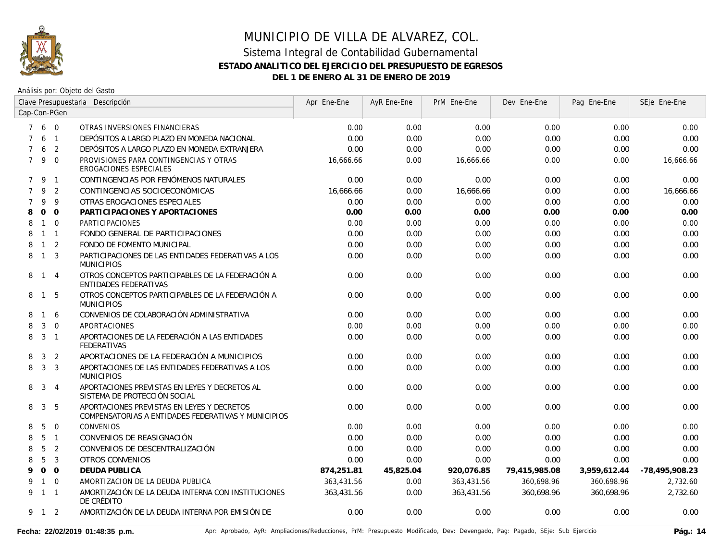

| Clave Presupuestaria Descripción |                |                |                                                                                                   | Apr Ene-Ene | AyR Ene-Ene | PrM Ene-Ene | Dev Ene-Ene   | Pag Ene-Ene  | SEje Ene-Ene   |
|----------------------------------|----------------|----------------|---------------------------------------------------------------------------------------------------|-------------|-------------|-------------|---------------|--------------|----------------|
| Cap-Con-PGen                     |                |                |                                                                                                   |             |             |             |               |              |                |
|                                  | 7 6 0          |                | OTRAS INVERSIONES FINANCIERAS                                                                     | 0.00        | 0.00        | 0.00        | 0.00          | 0.00         | 0.00           |
| $\overline{7}$                   | 6              | $\overline{1}$ | DEPÓSITOS A LARGO PLAZO EN MONEDA NACIONAL                                                        | 0.00        | 0.00        | 0.00        | 0.00          | 0.00         | 0.00           |
| $\overline{7}$                   | 6              | 2              | DEPÓSITOS A LARGO PLAZO EN MONEDA EXTRANJERA                                                      | 0.00        | 0.00        | 0.00        | 0.00          | 0.00         | 0.00           |
| $7^{\circ}$                      | 9 0            |                | PROVISIONES PARA CONTINGENCIAS Y OTRAS<br>EROGACIONES ESPECIALES                                  | 16,666.66   | 0.00        | 16,666.66   | 0.00          | 0.00         | 16,666.66      |
|                                  | 7 9 1          |                | CONTINGENCIAS POR FENÓMENOS NATURALES                                                             | 0.00        | 0.00        | 0.00        | 0.00          | 0.00         | 0.00           |
| $\overline{7}$                   | 9              | 2              | CONTINGENCIAS SOCIOECONÓMICAS                                                                     | 16,666.66   | 0.00        | 16,666.66   | 0.00          | 0.00         | 16,666.66      |
| $\overline{7}$                   | 9              | 9              | OTRAS EROGACIONES ESPECIALES                                                                      | 0.00        | 0.00        | 0.00        | 0.00          | 0.00         | 0.00           |
| 8                                | $\mathbf{O}$   | $\overline{O}$ | PARTICIPACIONES Y APORTACIONES                                                                    | 0.00        | 0.00        | 0.00        | 0.00          | 0.00         | 0.00           |
| 8                                | $1 \quad 0$    |                | PARTICIPACIONES                                                                                   | 0.00        | 0.00        | 0.00        | 0.00          | 0.00         | 0.00           |
| 8                                | $\mathbf{1}$   | $\overline{1}$ | FONDO GENERAL DE PARTICIPACIONES                                                                  | 0.00        | 0.00        | 0.00        | 0.00          | 0.00         | 0.00           |
| 8                                | $\mathbf{1}$   | 2              | FONDO DE FOMENTO MUNICIPAL                                                                        | 0.00        | 0.00        | 0.00        | 0.00          | 0.00         | 0.00           |
| 8                                | $\overline{1}$ | 3              | PARTICIPACIONES DE LAS ENTIDADES FEDERATIVAS A LOS<br><b>MUNICIPIOS</b>                           | 0.00        | 0.00        | 0.00        | 0.00          | 0.00         | 0.00           |
|                                  | 8 1 4          |                | OTROS CONCEPTOS PARTICIPABLES DE LA FEDERACIÓN A<br><b>ENTIDADES FEDERATIVAS</b>                  | 0.00        | 0.00        | 0.00        | 0.00          | 0.00         | 0.00           |
| 8                                | $\overline{1}$ | -5             | OTROS CONCEPTOS PARTICIPABLES DE LA FEDERACIÓN A<br><b>MUNICIPIOS</b>                             | 0.00        | 0.00        | 0.00        | 0.00          | 0.00         | 0.00           |
| 8                                | $\overline{1}$ | 6              | CONVENIOS DE COLABORACIÓN ADMINISTRATIVA                                                          | 0.00        | 0.00        | 0.00        | 0.00          | 0.00         | 0.00           |
| 8                                | 3              | $\overline{0}$ | APORTACIONES                                                                                      | 0.00        | 0.00        | 0.00        | 0.00          | 0.00         | 0.00           |
| 8                                | $\overline{3}$ | $\overline{1}$ | APORTACIONES DE LA FEDERACIÓN A LAS ENTIDADES<br><b>FEDERATIVAS</b>                               | 0.00        | 0.00        | 0.00        | 0.00          | 0.00         | 0.00           |
| 8                                | 3              | 2              | APORTACIONES DE LA FEDERACIÓN A MUNICIPIOS                                                        | 0.00        | 0.00        | 0.00        | 0.00          | 0.00         | 0.00           |
| 8                                | $\mathbf{3}$   | $\overline{3}$ | APORTACIONES DE LAS ENTIDADES FEDERATIVAS A LOS<br><b>MUNICIPIOS</b>                              | 0.00        | 0.00        | 0.00        | 0.00          | 0.00         | 0.00           |
| 8                                | 3              | $\overline{4}$ | APORTACIONES PREVISTAS EN LEYES Y DECRETOS AL<br>SISTEMA DE PROTECCIÓN SOCIAL                     | 0.00        | 0.00        | 0.00        | 0.00          | 0.00         | 0.00           |
| 8                                | 3              | 5              | APORTACIONES PREVISTAS EN LEYES Y DECRETOS<br>COMPENSATORIAS A ENTIDADES FEDERATIVAS Y MUNICIPIOS | 0.00        | 0.00        | 0.00        | 0.00          | 0.00         | 0.00           |
| 8                                | 5              | $\overline{0}$ | <b>CONVENIOS</b>                                                                                  | 0.00        | 0.00        | 0.00        | 0.00          | 0.00         | 0.00           |
| 8                                | 5              | $\overline{1}$ | CONVENIOS DE REASIGNACIÓN                                                                         | 0.00        | 0.00        | 0.00        | 0.00          | 0.00         | 0.00           |
| 8                                | 5              | $\overline{2}$ | CONVENIOS DE DESCENTRALIZACIÓN                                                                    | 0.00        | 0.00        | 0.00        | 0.00          | 0.00         | 0.00           |
| 8                                | 5              | $\mathbf{3}$   | <b>OTROS CONVENIOS</b>                                                                            | 0.00        | 0.00        | 0.00        | 0.00          | 0.00         | 0.00           |
| 9                                | 0 <sub>0</sub> |                | <b>DEUDA PUBLICA</b>                                                                              | 874,251.81  | 45,825.04   | 920,076.85  | 79,415,985.08 | 3,959,612.44 | -78,495,908.23 |
| 9                                | $1 \quad 0$    |                | AMORTIZACION DE LA DEUDA PUBLICA                                                                  | 363,431.56  | 0.00        | 363,431.56  | 360.698.96    | 360,698.96   | 2,732.60       |
|                                  | 9 1 1          |                | AMORTIZACIÓN DE LA DEUDA INTERNA CON INSTITUCIONES<br>DE CRÉDITO                                  | 363,431.56  | 0.00        | 363,431.56  | 360,698.96    | 360.698.96   | 2,732.60       |
|                                  | 9 1 2          |                | AMORTIZACIÓN DE LA DEUDA INTERNA POR EMISIÓN DE                                                   | 0.00        | 0.00        | 0.00        | 0.00          | 0.00         | 0.00           |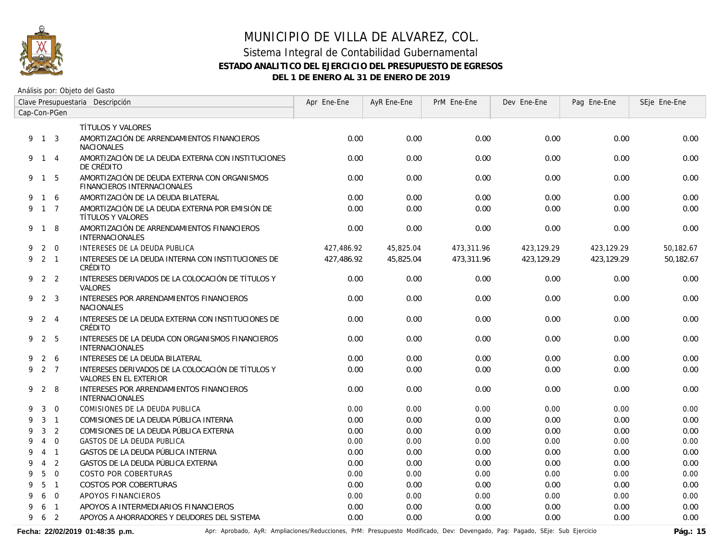

Análisis por: Objeto del Gasto

| Clave Presupuestaria Descripción |                |                |                                                                             | Apr Ene-Ene | AyR Ene-Ene | PrM Ene-Ene | Dev Ene-Ene | Pag Ene-Ene | SEje Ene-Ene |
|----------------------------------|----------------|----------------|-----------------------------------------------------------------------------|-------------|-------------|-------------|-------------|-------------|--------------|
|                                  | Cap-Con-PGen   |                |                                                                             |             |             |             |             |             |              |
|                                  |                |                | <b>TÍTULOS Y VALORES</b>                                                    |             |             |             |             |             |              |
|                                  | 9 1 3          |                | AMORTIZACIÓN DE ARRENDAMIENTOS FINANCIEROS<br><b>NACIONALES</b>             | 0.00        | 0.00        | 0.00        | 0.00        | 0.00        | 0.00         |
|                                  | 9 1 4          |                | AMORTIZACIÓN DE LA DEUDA EXTERNA CON INSTITUCIONES<br>DE CRÉDITO            | 0.00        | 0.00        | 0.00        | 0.00        | 0.00        | 0.00         |
|                                  | 9 1 5          |                | AMORTIZACIÓN DE DEUDA EXTERNA CON ORGANISMOS<br>FINANCIEROS INTERNACIONALES | 0.00        | 0.00        | 0.00        | 0.00        | 0.00        | 0.00         |
| 9                                | $\mathbf{1}$   | -6             | AMORTIZACIÓN DE LA DEUDA BILATERAL                                          | 0.00        | 0.00        | 0.00        | 0.00        | 0.00        | 0.00         |
| 9                                |                | $1 \quad 7$    | AMORTIZACIÓN DE LA DEUDA EXTERNA POR EMISIÓN DE<br><b>TÍTULOS Y VALORES</b> | 0.00        | 0.00        | 0.00        | 0.00        | 0.00        | 0.00         |
|                                  | 9 1 8          |                | AMORTIZACIÓN DE ARRENDAMIENTOS FINANCIEROS<br>INTERNACIONALES               | 0.00        | 0.00        | 0.00        | 0.00        | 0.00        | 0.00         |
| 9                                |                | $2 \quad 0$    | INTERESES DE LA DEUDA PUBLICA                                               | 427,486.92  | 45,825.04   | 473,311.96  | 423,129.29  | 423,129.29  | 50,182.67    |
| 9                                | $2 \quad 1$    |                | INTERESES DE LA DEUDA INTERNA CON INSTITUCIONES DE<br>CRÉDITO               | 427.486.92  | 45,825.04   | 473,311.96  | 423.129.29  | 423.129.29  | 50.182.67    |
| 9                                |                | 2 <sub>2</sub> | INTERESES DERIVADOS DE LA COLOCACIÓN DE TÍTULOS Y<br><b>VALORES</b>         | 0.00        | 0.00        | 0.00        | 0.00        | 0.00        | 0.00         |
|                                  | 9 2 3          |                | INTERESES POR ARRENDAMIENTOS FINANCIEROS<br><b>NACIONALES</b>               | 0.00        | 0.00        | 0.00        | 0.00        | 0.00        | 0.00         |
| 9                                | 2 4            |                | INTERESES DE LA DEUDA EXTERNA CON INSTITUCIONES DE<br>CRÉDITO               | 0.00        | 0.00        | 0.00        | 0.00        | 0.00        | 0.00         |
|                                  | 9 2 5          |                | INTERESES DE LA DEUDA CON ORGANISMOS FINANCIEROS<br><b>INTERNACIONALES</b>  | 0.00        | 0.00        | 0.00        | 0.00        | 0.00        | 0.00         |
| 9                                |                | $2\quad 6$     | <b>INTERESES DE LA DEUDA BILATERAL</b>                                      | 0.00        | 0.00        | 0.00        | 0.00        | 0.00        | 0.00         |
| 9                                | 2 7            |                | INTERESES DERIVADOS DE LA COLOCACIÓN DE TÍTULOS Y<br>VALORES EN EL EXTERIOR | 0.00        | 0.00        | 0.00        | 0.00        | 0.00        | 0.00         |
| 9                                |                | $2 \quad 8$    | INTERESES POR ARRENDAMIENTOS FINANCIEROS<br><b>INTERNACIONALES</b>          | 0.00        | 0.00        | 0.00        | 0.00        | 0.00        | 0.00         |
| 9                                | 3              | $\Omega$       | COMISIONES DE LA DEUDA PUBLICA                                              | 0.00        | 0.00        | 0.00        | 0.00        | 0.00        | 0.00         |
| 9                                | 3              | $\overline{1}$ | COMISIONES DE LA DEUDA PÚBLICA INTERNA                                      | 0.00        | 0.00        | 0.00        | 0.00        | 0.00        | 0.00         |
| 9                                | 3              | $\overline{2}$ | COMISIONES DE LA DEUDA PÚBLICA EXTERNA                                      | 0.00        | 0.00        | 0.00        | 0.00        | 0.00        | 0.00         |
| 9                                | $\overline{4}$ | $\Omega$       | <b>GASTOS DE LA DEUDA PUBLICA</b>                                           | 0.00        | 0.00        | 0.00        | 0.00        | 0.00        | 0.00         |
| 9                                | $\overline{4}$ | $\overline{1}$ | GASTOS DE LA DEUDA PÚBLICA INTERNA                                          | 0.00        | 0.00        | 0.00        | 0.00        | 0.00        | 0.00         |
| 9                                | $\overline{4}$ | 2              | GASTOS DE LA DEUDA PÚBLICA EXTERNA                                          | 0.00        | 0.00        | 0.00        | 0.00        | 0.00        | 0.00         |
| 9                                | 5              | $\overline{0}$ | <b>COSTO POR COBERTURAS</b>                                                 | 0.00        | 0.00        | 0.00        | 0.00        | 0.00        | 0.00         |
| 9                                | 5              | $\overline{1}$ | <b>COSTOS POR COBERTURAS</b>                                                | 0.00        | 0.00        | 0.00        | 0.00        | 0.00        | 0.00         |
| 9                                | 6              | $\Omega$       | APOYOS FINANCIEROS                                                          | 0.00        | 0.00        | 0.00        | 0.00        | 0.00        | 0.00         |
| 9                                | 6              | $\overline{1}$ | APOYOS A INTERMEDIARIOS FINANCIEROS                                         | 0.00        | 0.00        | 0.00        | 0.00        | 0.00        | 0.00         |
| 9                                | 6              | $\overline{2}$ | APOYOS A AHORRADORES Y DEUDORES DEL SISTEMA                                 | 0.00        | 0.00        | 0.00        | 0.00        | 0.00        | 0.00         |

Fecha: 22/02/2019 01:48:35 p.m. **Antich Aprical Aprical AyR: Ampliaciones/Reducciones, PrM: Presupuesto Modificado, Dev: Devengado, Pag: Pagado, SEje: Sub Ejercicio Pág.: 15**